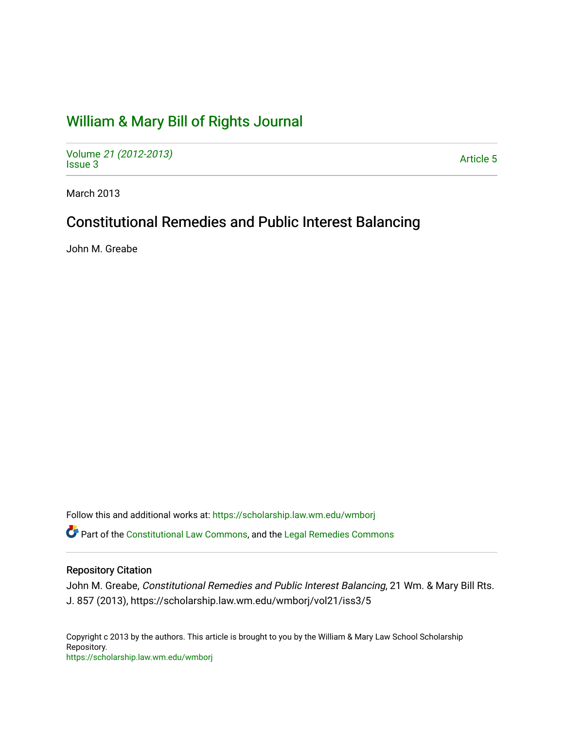# [William & Mary Bill of Rights Journal](https://scholarship.law.wm.edu/wmborj)

Volume [21 \(2012-2013\)](https://scholarship.law.wm.edu/wmborj/vol21)  volume 27 (2012-2013)<br>[Issue 3](https://scholarship.law.wm.edu/wmborj/vol21/iss3) Article 5

March 2013

# Constitutional Remedies and Public Interest Balancing

John M. Greabe

Follow this and additional works at: [https://scholarship.law.wm.edu/wmborj](https://scholarship.law.wm.edu/wmborj?utm_source=scholarship.law.wm.edu%2Fwmborj%2Fvol21%2Fiss3%2F5&utm_medium=PDF&utm_campaign=PDFCoverPages) 

**C**<sup> $\bullet$ </sup> Part of the [Constitutional Law Commons,](http://network.bepress.com/hgg/discipline/589?utm_source=scholarship.law.wm.edu%2Fwmborj%2Fvol21%2Fiss3%2F5&utm_medium=PDF&utm_campaign=PDFCoverPages) and the Legal Remedies Commons

# Repository Citation

John M. Greabe, Constitutional Remedies and Public Interest Balancing, 21 Wm. & Mary Bill Rts. J. 857 (2013), https://scholarship.law.wm.edu/wmborj/vol21/iss3/5

Copyright c 2013 by the authors. This article is brought to you by the William & Mary Law School Scholarship Repository. <https://scholarship.law.wm.edu/wmborj>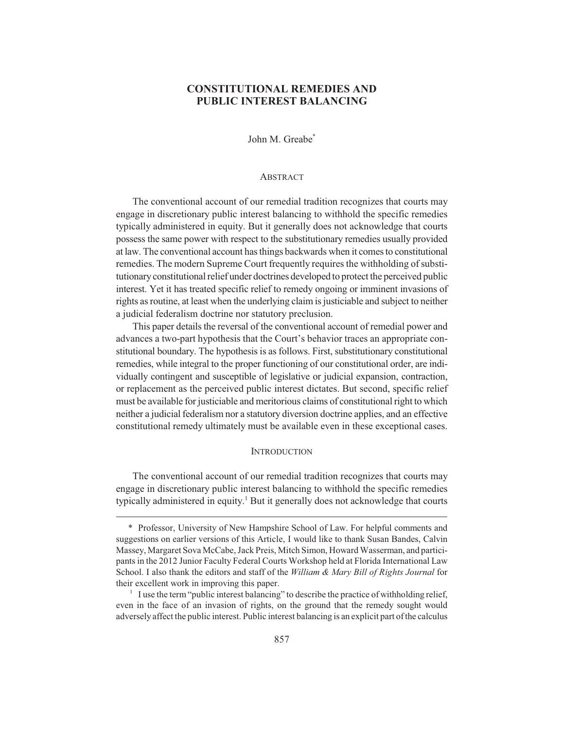# **CONSTITUTIONAL REMEDIES AND PUBLIC INTEREST BALANCING**

John M. Greabe\*

#### ABSTRACT

The conventional account of our remedial tradition recognizes that courts may engage in discretionary public interest balancing to withhold the specific remedies typically administered in equity. But it generally does not acknowledge that courts possess the same power with respect to the substitutionary remedies usually provided at law. The conventional account has things backwards when it comes to constitutional remedies. The modern Supreme Court frequently requires the withholding of substitutionary constitutional relief under doctrines developed to protect the perceived public interest. Yet it has treated specific relief to remedy ongoing or imminent invasions of rights as routine, at least when the underlying claim is justiciable and subject to neither a judicial federalism doctrine nor statutory preclusion.

This paper details the reversal of the conventional account of remedial power and advances a two-part hypothesis that the Court's behavior traces an appropriate constitutional boundary. The hypothesis is as follows. First, substitutionary constitutional remedies, while integral to the proper functioning of our constitutional order, are individually contingent and susceptible of legislative or judicial expansion, contraction, or replacement as the perceived public interest dictates. But second, specific relief must be available for justiciable and meritorious claims of constitutional right to which neither a judicial federalism nor a statutory diversion doctrine applies, and an effective constitutional remedy ultimately must be available even in these exceptional cases.

#### **INTRODUCTION**

The conventional account of our remedial tradition recognizes that courts may engage in discretionary public interest balancing to withhold the specific remedies typically administered in equity.<sup>1</sup> But it generally does not acknowledge that courts

<sup>\*</sup> Professor, University of New Hampshire School of Law. For helpful comments and suggestions on earlier versions of this Article, I would like to thank Susan Bandes, Calvin Massey, Margaret Sova McCabe, Jack Preis, Mitch Simon, Howard Wasserman, and participants in the 2012 Junior Faculty Federal Courts Workshop held at Florida International Law School. I also thank the editors and staff of the *William & Mary Bill of Rights Journal* for their excellent work in improving this paper.

 $1$  I use the term "public interest balancing" to describe the practice of withholding relief, even in the face of an invasion of rights, on the ground that the remedy sought would adversely affect the public interest. Public interest balancing is an explicit part of the calculus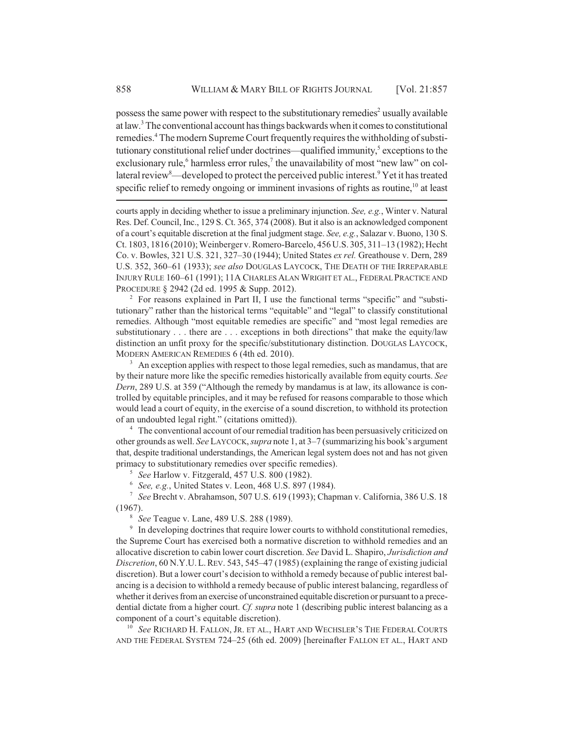possess the same power with respect to the substitutionary remedies<sup>2</sup> usually available at law.<sup>3</sup> The conventional account has things backwards when it comes to constitutional remedies.<sup>4</sup> The modern Supreme Court frequently requires the withholding of substitutionary constitutional relief under doctrines—qualified immunity,<sup>5</sup> exceptions to the exclusionary rule,<sup>6</sup> harmless error rules,<sup>7</sup> the unavailability of most "new law" on collateral review<sup>8</sup>—developed to protect the perceived public interest.<sup>9</sup> Yet it has treated specific relief to remedy ongoing or imminent invasions of rights as routine,  $^{10}$  at least

courts apply in deciding whether to issue a preliminary injunction. *See, e.g.*, Winter v. Natural Res. Def. Council, Inc., 129 S. Ct. 365, 374 (2008). But it also is an acknowledged component of a court's equitable discretion at the final judgment stage. *See, e.g.*, Salazar v. Buono, 130 S. Ct. 1803, 1816 (2010); Weinberger v. Romero-Barcelo, 456 U.S. 305, 311–13 (1982); Hecht Co. v. Bowles, 321 U.S. 321, 327–30 (1944); United States *ex rel.* Greathouse v. Dern, 289 U.S. 352, 360–61 (1933); *see also* DOUGLAS LAYCOCK, THE DEATH OF THE IRREPARABLE INJURY RULE 160–61 (1991); 11A CHARLES ALAN WRIGHT ET AL., FEDERAL PRACTICE AND PROCEDURE § 2942 (2d ed. 1995 & Supp. 2012).

<sup>2</sup> For reasons explained in Part II, I use the functional terms "specific" and "substitutionary" rather than the historical terms "equitable" and "legal" to classify constitutional remedies. Although "most equitable remedies are specific" and "most legal remedies are substitutionary . . . there are . . . exceptions in both directions" that make the equity/law distinction an unfit proxy for the specific/substitutionary distinction. DOUGLAS LAYCOCK, MODERN AMERICAN REMEDIES 6 (4th ed. 2010).

 $3$  An exception applies with respect to those legal remedies, such as mandamus, that are by their nature more like the specific remedies historically available from equity courts. *See Dern*, 289 U.S. at 359 ("Although the remedy by mandamus is at law, its allowance is controlled by equitable principles, and it may be refused for reasons comparable to those which would lead a court of equity, in the exercise of a sound discretion, to withhold its protection of an undoubted legal right." (citations omitted)).

<sup>4</sup> The conventional account of our remedial tradition has been persuasively criticized on other grounds as well. *See* LAYCOCK, *supra* note 1, at 3–7 (summarizing his book's argument that, despite traditional understandings, the American legal system does not and has not given primacy to substitutionary remedies over specific remedies).

<sup>5</sup> *See* Harlow v. Fitzgerald, 457 U.S. 800 (1982).

<sup>6</sup> *See, e.g.*, United States v. Leon, 468 U.S. 897 (1984).

<sup>7</sup> *See* Brecht v. Abrahamson, 507 U.S. 619 (1993); Chapman v. California, 386 U.S. 18 (1967).

<sup>8</sup> *See* Teague v. Lane, 489 U.S. 288 (1989).

<sup>9</sup> In developing doctrines that require lower courts to withhold constitutional remedies, the Supreme Court has exercised both a normative discretion to withhold remedies and an allocative discretion to cabin lower court discretion. *See* David L. Shapiro, *Jurisdiction and Discretion*, 60 N.Y.U.L.REV. 543, 545–47 (1985) (explaining the range of existing judicial discretion). But a lower court's decision to withhold a remedy because of public interest balancing is a decision to withhold a remedy because of public interest balancing, regardless of whether it derives from an exercise of unconstrained equitable discretion or pursuant to a precedential dictate from a higher court. *Cf. supra* note 1 (describing public interest balancing as a component of a court's equitable discretion).

<sup>10</sup> *See* RICHARD H. FALLON, JR. ET AL., HART AND WECHSLER'S THE FEDERAL COURTS AND THE FEDERAL SYSTEM 724–25 (6th ed. 2009) [hereinafter FALLON ET AL., HART AND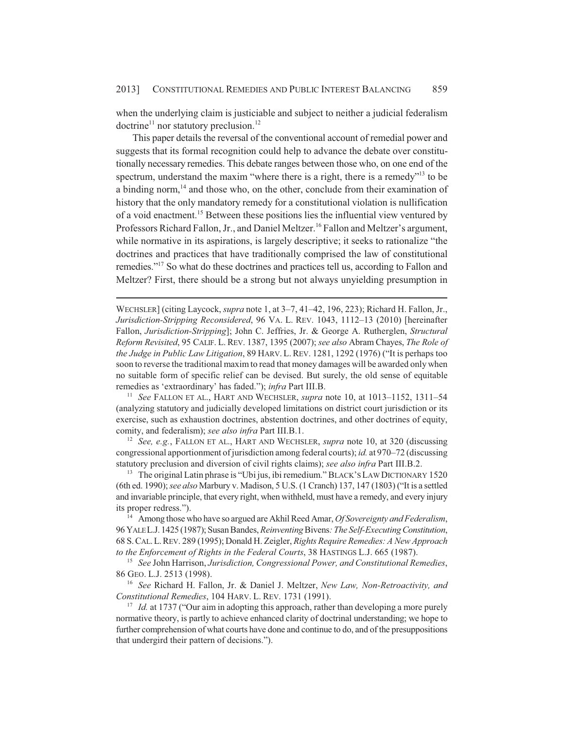when the underlying claim is justiciable and subject to neither a judicial federalism doctrine<sup>11</sup> nor statutory preclusion.<sup>12</sup>

This paper details the reversal of the conventional account of remedial power and suggests that its formal recognition could help to advance the debate over constitutionally necessary remedies. This debate ranges between those who, on one end of the spectrum, understand the maxim "where there is a right, there is a remedy"<sup>13</sup> to be a binding norm, $<sup>14</sup>$  and those who, on the other, conclude from their examination of</sup> history that the only mandatory remedy for a constitutional violation is nullification of a void enactment.15 Between these positions lies the influential view ventured by Professors Richard Fallon, Jr., and Daniel Meltzer.<sup>16</sup> Fallon and Meltzer's argument, while normative in its aspirations, is largely descriptive; it seeks to rationalize "the doctrines and practices that have traditionally comprised the law of constitutional remedies."17 So what do these doctrines and practices tell us, according to Fallon and Meltzer? First, there should be a strong but not always unyielding presumption in

WECHSLER] (citing Laycock, *supra* note 1, at 3–7, 41–42, 196, 223); Richard H. Fallon, Jr., *Jurisdiction-Stripping Reconsidered*, 96 VA. L. REV. 1043, 1112–13 (2010) [hereinafter Fallon, *Jurisdiction-Stripping*]; John C. Jeffries, Jr. & George A. Rutherglen, *Structural Reform Revisited*, 95 CALIF. L. REV. 1387, 1395 (2007); *see also* Abram Chayes, *The Role of the Judge in Public Law Litigation*, 89 HARV. L.REV. 1281, 1292 (1976) ("It is perhaps too soon to reverse the traditional maxim to read that money damages will be awarded only when no suitable form of specific relief can be devised. But surely, the old sense of equitable remedies as 'extraordinary' has faded."); *infra* Part III.B.

<sup>11</sup> *See* FALLON ET AL., HART AND WECHSLER, *supra* note 10, at 1013–1152, 1311–54 (analyzing statutory and judicially developed limitations on district court jurisdiction or its exercise, such as exhaustion doctrines, abstention doctrines, and other doctrines of equity, comity, and federalism); *see also infra* Part III.B.1.

<sup>12</sup> *See, e.g.*, FALLON ET AL., HART AND WECHSLER, *supra* note 10, at 320 (discussing congressional apportionment of jurisdiction among federal courts); *id.* at 970–72 (discussing statutory preclusion and diversion of civil rights claims); *see also infra* Part III.B.2.

<sup>13</sup> The original Latin phrase is "Ubi jus, ibi remedium." BLACK'S LAW DICTIONARY 1520 (6th ed. 1990); *see also* Marbury v. Madison, 5 U.S. (1 Cranch) 137, 147 (1803) ("It is a settled and invariable principle, that every right, when withheld, must have a remedy, and every injury its proper redress.").

<sup>14</sup> Among those who have so argued are Akhil Reed Amar, *Of Sovereignty and Federalism*, 96 YALE L.J. 1425 (1987); Susan Bandes, *Reinventing* Bivens*: The Self-Executing Constitution*, 68 S.CAL.L.REV. 289 (1995); Donald H. Zeigler, *Rights Require Remedies: A New Approach to the Enforcement of Rights in the Federal Courts*, 38 HASTINGS L.J. 665 (1987).

<sup>15</sup> *See* John Harrison, *Jurisdiction, Congressional Power, and Constitutional Remedies*, 86 GEO. L.J. 2513 (1998).

<sup>16</sup> *See* Richard H. Fallon, Jr. & Daniel J. Meltzer, *New Law, Non-Retroactivity, and Constitutional Remedies*, 104 HARV. L. REV. 1731 (1991).

<sup>17</sup> *Id.* at 1737 ("Our aim in adopting this approach, rather than developing a more purely normative theory, is partly to achieve enhanced clarity of doctrinal understanding; we hope to further comprehension of what courts have done and continue to do, and of the presuppositions that undergird their pattern of decisions.").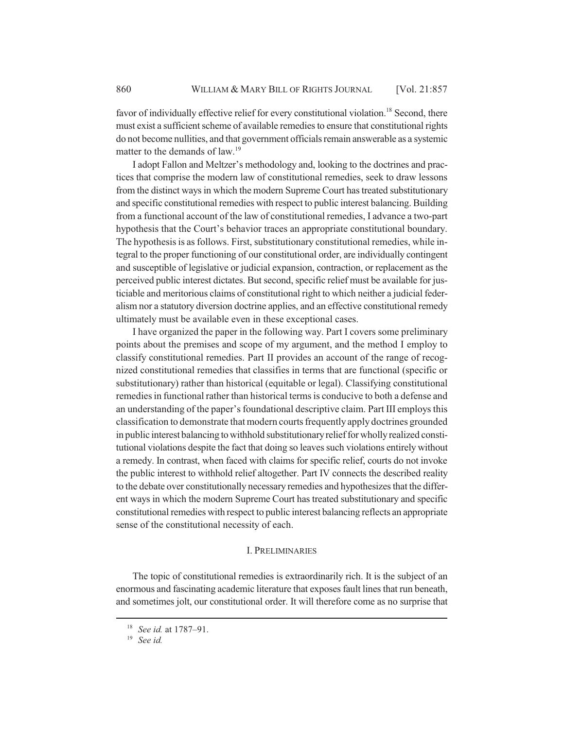favor of individually effective relief for every constitutional violation.<sup>18</sup> Second, there must exist a sufficient scheme of available remedies to ensure that constitutional rights do not become nullities, and that government officials remain answerable as a systemic matter to the demands of law.<sup>19</sup>

I adopt Fallon and Meltzer's methodology and, looking to the doctrines and practices that comprise the modern law of constitutional remedies, seek to draw lessons from the distinct ways in which the modern Supreme Court has treated substitutionary and specific constitutional remedies with respect to public interest balancing. Building from a functional account of the law of constitutional remedies, I advance a two-part hypothesis that the Court's behavior traces an appropriate constitutional boundary. The hypothesis is as follows. First, substitutionary constitutional remedies, while integral to the proper functioning of our constitutional order, are individually contingent and susceptible of legislative or judicial expansion, contraction, or replacement as the perceived public interest dictates. But second, specific relief must be available for justiciable and meritorious claims of constitutional right to which neither a judicial federalism nor a statutory diversion doctrine applies, and an effective constitutional remedy ultimately must be available even in these exceptional cases.

I have organized the paper in the following way. Part I covers some preliminary points about the premises and scope of my argument, and the method I employ to classify constitutional remedies. Part II provides an account of the range of recognized constitutional remedies that classifies in terms that are functional (specific or substitutionary) rather than historical (equitable or legal). Classifying constitutional remedies in functional rather than historical terms is conducive to both a defense and an understanding of the paper's foundational descriptive claim. Part III employs this classification to demonstrate that modern courts frequently apply doctrines grounded in public interest balancing to withhold substitutionary relief for wholly realized constitutional violations despite the fact that doing so leaves such violations entirely without a remedy. In contrast, when faced with claims for specific relief, courts do not invoke the public interest to withhold relief altogether. Part IV connects the described reality to the debate over constitutionally necessary remedies and hypothesizes that the different ways in which the modern Supreme Court has treated substitutionary and specific constitutional remedies with respect to public interest balancing reflects an appropriate sense of the constitutional necessity of each.

#### I. PRELIMINARIES

The topic of constitutional remedies is extraordinarily rich. It is the subject of an enormous and fascinating academic literature that exposes fault lines that run beneath, and sometimes jolt, our constitutional order. It will therefore come as no surprise that

<sup>18</sup> *See id.* at 1787–91.

<sup>19</sup> *See id.*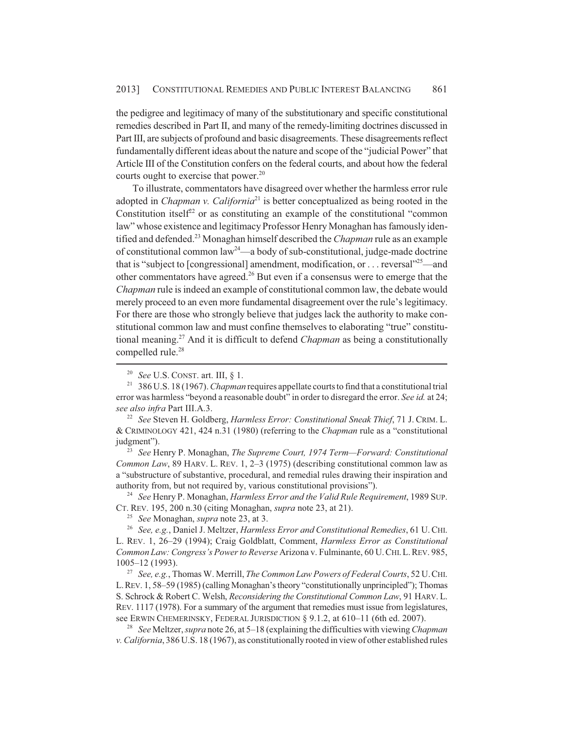the pedigree and legitimacy of many of the substitutionary and specific constitutional remedies described in Part II, and many of the remedy-limiting doctrines discussed in Part III, are subjects of profound and basic disagreements. These disagreements reflect fundamentally different ideas about the nature and scope of the "judicial Power" that Article III of the Constitution confers on the federal courts, and about how the federal courts ought to exercise that power.<sup>20</sup>

To illustrate, commentators have disagreed over whether the harmless error rule adopted in *Chapman v. California*<sup>21</sup> is better conceptualized as being rooted in the Constitution itself<sup>22</sup> or as constituting an example of the constitutional "common" law" whose existence and legitimacy Professor Henry Monaghan has famously identified and defended.23 Monaghan himself described the *Chapman* rule as an example of constitutional common law<sup>24</sup>—a body of sub-constitutional, judge-made doctrine that is "subject to [congressional] amendment, modification, or ... reversal  $25$ —and other commentators have agreed.<sup>26</sup> But even if a consensus were to emerge that the *Chapman* rule is indeed an example of constitutional common law, the debate would merely proceed to an even more fundamental disagreement over the rule's legitimacy. For there are those who strongly believe that judges lack the authority to make constitutional common law and must confine themselves to elaborating "true" constitutional meaning.27 And it is difficult to defend *Chapman* as being a constitutionally compelled rule.<sup>28</sup>

<sup>22</sup> *See* Steven H. Goldberg, *Harmless Error: Constitutional Sneak Thief*, 71 J. CRIM. L. & CRIMINOLOGY 421, 424 n.31 (1980) (referring to the *Chapman* rule as a "constitutional judgment").

<sup>23</sup> *See* Henry P. Monaghan, *The Supreme Court, 1974 Term—Forward: Constitutional Common Law*, 89 HARV. L. REV. 1, 2–3 (1975) (describing constitutional common law as a "substructure of substantive, procedural, and remedial rules drawing their inspiration and authority from, but not required by, various constitutional provisions").

<sup>24</sup> *See* Henry P. Monaghan, *Harmless Error and the Valid Rule Requirement*, 1989 SUP. CT. REV. 195, 200 n.30 (citing Monaghan, *supra* note 23, at 21).

<sup>26</sup> *See, e.g.*, Daniel J. Meltzer, *Harmless Error and Constitutional Remedies*, 61 U.CHI. L. REV. 1, 26–29 (1994); Craig Goldblatt, Comment, *Harmless Error as Constitutional Common Law: Congress's Power to Reverse* Arizona v. Fulminante, 60 U.CHI.L.REV. 985, 1005–12 (1993).

<sup>27</sup> *See, e.g.*, Thomas W. Merrill, *The Common Law Powers of Federal Courts*, 52 U.CHI. L.REV. 1, 58–59 (1985) (calling Monaghan's theory "constitutionally unprincipled"); Thomas S. Schrock & Robert C. Welsh, *Reconsidering the Constitutional Common Law*, 91 HARV. L. REV. 1117 (1978). For a summary of the argument that remedies must issue from legislatures, see ERWIN CHEMERINSKY, FEDERAL JURISDICTION § 9.1.2, at 610–11 (6th ed. 2007).

<sup>28</sup> *See* Meltzer, *supra* note 26, at 5–18 (explaining the difficulties with viewing *Chapman v. California*, 386 U.S. 18 (1967), as constitutionally rooted in view of other established rules

<sup>20</sup> *See* U.S. CONST. art. III, § 1.

<sup>21</sup> 386 U.S. 18 (1967). *Chapman* requires appellate courts to find that a constitutional trial error was harmless "beyond a reasonable doubt" in order to disregard the error. *See id.* at 24; *see also infra* Part III.A.3.

<sup>25</sup> *See* Monaghan, *supra* note 23, at 3.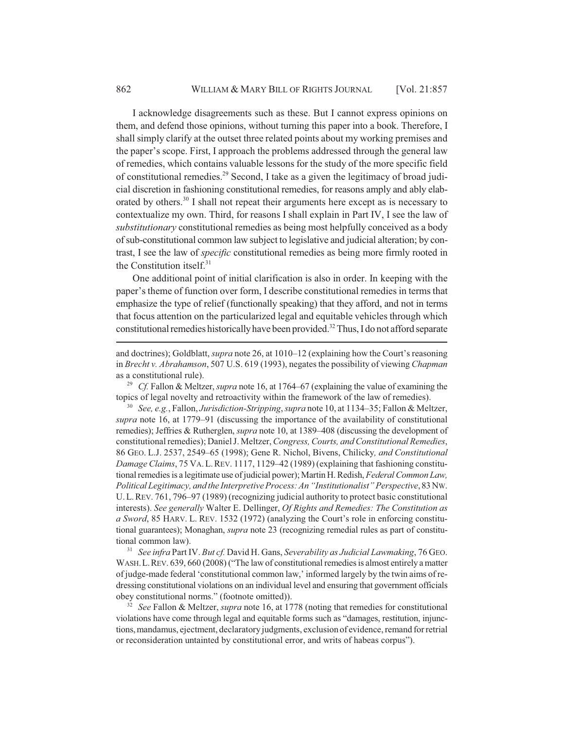I acknowledge disagreements such as these. But I cannot express opinions on them, and defend those opinions, without turning this paper into a book. Therefore, I shall simply clarify at the outset three related points about my working premises and the paper's scope. First, I approach the problems addressed through the general law of remedies, which contains valuable lessons for the study of the more specific field of constitutional remedies.<sup>29</sup> Second, I take as a given the legitimacy of broad judicial discretion in fashioning constitutional remedies, for reasons amply and ably elaborated by others.<sup>30</sup> I shall not repeat their arguments here except as is necessary to contextualize my own. Third, for reasons I shall explain in Part IV, I see the law of *substitutionary* constitutional remedies as being most helpfully conceived as a body of sub-constitutional common law subject to legislative and judicial alteration; by contrast, I see the law of *specific* constitutional remedies as being more firmly rooted in the Constitution itself.<sup>31</sup>

One additional point of initial clarification is also in order. In keeping with the paper's theme of function over form, I describe constitutional remedies in terms that emphasize the type of relief (functionally speaking) that they afford, and not in terms that focus attention on the particularized legal and equitable vehicles through which constitutional remedies historically have been provided.32 Thus, I do not afford separate

<sup>31</sup> *See infra* Part IV. *But cf.* David H. Gans, *Severability as Judicial Lawmaking*, 76 GEO. WASH.L.REV. 639, 660 (2008) ("The law of constitutional remedies is almost entirely a matter of judge-made federal 'constitutional common law,' informed largely by the twin aims of redressing constitutional violations on an individual level and ensuring that government officials obey constitutional norms." (footnote omitted)).

<sup>32</sup> *See* Fallon & Meltzer, *supra* note 16, at 1778 (noting that remedies for constitutional violations have come through legal and equitable forms such as "damages, restitution, injunctions, mandamus, ejectment, declaratory judgments, exclusion of evidence, remand for retrial or reconsideration untainted by constitutional error, and writs of habeas corpus").

and doctrines); Goldblatt, *supra* note 26, at 1010–12 (explaining how the Court's reasoning in *Brecht v. Abrahamson*, 507 U.S. 619 (1993), negates the possibility of viewing *Chapman* as a constitutional rule).

<sup>29</sup> *Cf.* Fallon & Meltzer, *supra* note 16, at 1764–67 (explaining the value of examining the topics of legal novelty and retroactivity within the framework of the law of remedies).

<sup>30</sup> *See, e.g.*, Fallon, *Jurisdiction-Stripping*, *supra* note 10, at 1134–35; Fallon & Meltzer, *supra* note 16, at 1779–91 (discussing the importance of the availability of constitutional remedies); Jeffries & Rutherglen, *supra* note 10, at 1389–408 (discussing the development of constitutional remedies); Daniel J. Meltzer, *Congress, Courts, and Constitutional Remedies*, 86 GEO. L.J. 2537, 2549–65 (1998); Gene R. Nichol, Bivens, Chilicky*, and Constitutional Damage Claims*, 75 VA.L.REV. 1117, 1129–42 (1989) (explaining that fashioning constitutional remedies is a legitimate use of judicial power); Martin H. Redish, *Federal Common Law, Political Legitimacy, and the Interpretive Process: An "Institutionalist" Perspective*, 83 NW. U.L.REV. 761, 796–97 (1989) (recognizing judicial authority to protect basic constitutional interests). *See generally* Walter E. Dellinger, *Of Rights and Remedies: The Constitution as a Sword*, 85 HARV. L. REV. 1532 (1972) (analyzing the Court's role in enforcing constitutional guarantees); Monaghan, *supra* note 23 (recognizing remedial rules as part of constitutional common law).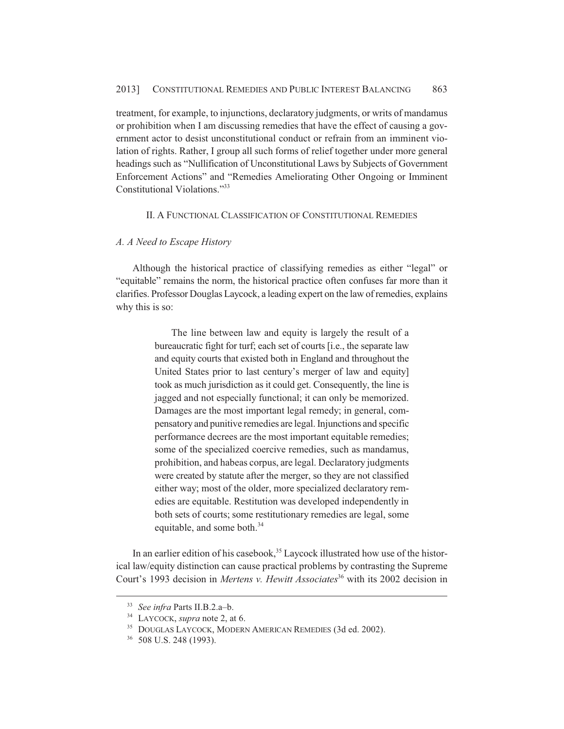treatment, for example, to injunctions, declaratory judgments, or writs of mandamus or prohibition when I am discussing remedies that have the effect of causing a government actor to desist unconstitutional conduct or refrain from an imminent violation of rights. Rather, I group all such forms of relief together under more general headings such as "Nullification of Unconstitutional Laws by Subjects of Government Enforcement Actions" and "Remedies Ameliorating Other Ongoing or Imminent Constitutional Violations."33

## II. A FUNCTIONAL CLASSIFICATION OF CONSTITUTIONAL REMEDIES

## *A. A Need to Escape History*

Although the historical practice of classifying remedies as either "legal" or "equitable" remains the norm, the historical practice often confuses far more than it clarifies. Professor Douglas Laycock, a leading expert on the law of remedies, explains why this is so:

> The line between law and equity is largely the result of a bureaucratic fight for turf; each set of courts [i.e., the separate law and equity courts that existed both in England and throughout the United States prior to last century's merger of law and equity] took as much jurisdiction as it could get. Consequently, the line is jagged and not especially functional; it can only be memorized. Damages are the most important legal remedy; in general, compensatory and punitive remedies are legal. Injunctions and specific performance decrees are the most important equitable remedies; some of the specialized coercive remedies, such as mandamus, prohibition, and habeas corpus, are legal. Declaratory judgments were created by statute after the merger, so they are not classified either way; most of the older, more specialized declaratory remedies are equitable. Restitution was developed independently in both sets of courts; some restitutionary remedies are legal, some equitable, and some both.<sup>34</sup>

In an earlier edition of his casebook, $35$  Laycock illustrated how use of the historical law/equity distinction can cause practical problems by contrasting the Supreme Court's 1993 decision in *Mertens v. Hewitt Associates*<sup>36</sup> with its 2002 decision in

<sup>33</sup> *See infra* Parts II.B.2.a–b.

<sup>34</sup> LAYCOCK, *supra* note 2, at 6.

<sup>35</sup> DOUGLAS LAYCOCK, MODERN AMERICAN REMEDIES (3d ed. 2002).

<sup>36</sup> 508 U.S. 248 (1993).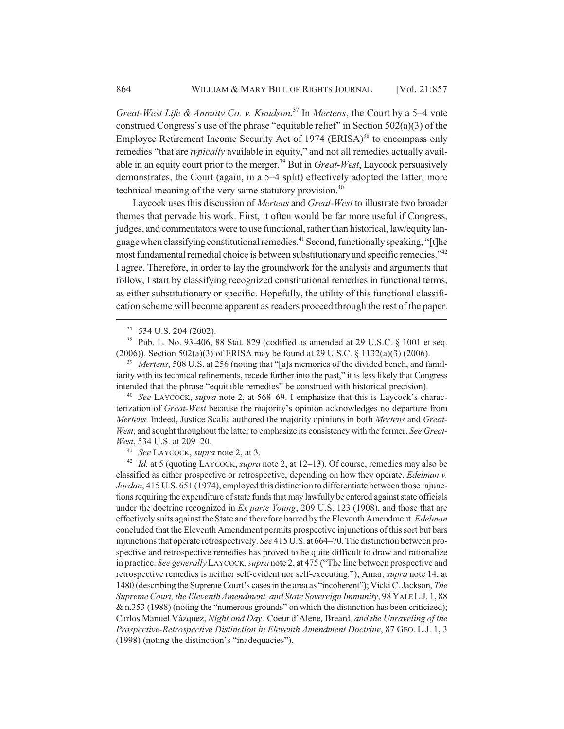*Great-West Life & Annuity Co. v. Knudson*. 37 In *Mertens*, the Court by a 5–4 vote construed Congress's use of the phrase "equitable relief" in Section 502(a)(3) of the Employee Retirement Income Security Act of 1974  $(ERISA)^{38}$  to encompass only remedies "that are *typically* available in equity," and not all remedies actually available in an equity court prior to the merger.<sup>39</sup> But in *Great-West*, Laycock persuasively demonstrates, the Court (again, in a 5–4 split) effectively adopted the latter, more technical meaning of the very same statutory provision.<sup>40</sup>

Laycock uses this discussion of *Mertens* and *Great-West* to illustrate two broader themes that pervade his work. First, it often would be far more useful if Congress, judges, and commentators were to use functional, rather than historical, law/equity language when classifying constitutional remedies.41 Second, functionally speaking, "[t]he most fundamental remedial choice is between substitutionary and specific remedies."42 I agree. Therefore, in order to lay the groundwork for the analysis and arguments that follow, I start by classifying recognized constitutional remedies in functional terms, as either substitutionary or specific. Hopefully, the utility of this functional classification scheme will become apparent as readers proceed through the rest of the paper.

<sup>38</sup> Pub. L. No. 93-406, 88 Stat. 829 (codified as amended at 29 U.S.C. § 1001 et seq. (2006)). Section 502(a)(3) of ERISA may be found at 29 U.S.C. § 1132(a)(3) (2006).

<sup>39</sup> *Mertens*, 508 U.S. at 256 (noting that "[a]s memories of the divided bench, and familiarity with its technical refinements, recede further into the past," it is less likely that Congress intended that the phrase "equitable remedies" be construed with historical precision).

<sup>40</sup> *See* LAYCOCK, *supra* note 2, at 568–69. I emphasize that this is Laycock's characterization of *Great-West* because the majority's opinion acknowledges no departure from *Mertens*. Indeed, Justice Scalia authored the majority opinions in both *Mertens* and *Great-West*, and sought throughout the latter to emphasize its consistency with the former. *See Great-West*, 534 U.S. at 209–20.

<sup>41</sup> *See* LAYCOCK, *supra* note 2, at 3.

<sup>42</sup> *Id.* at 5 (quoting LAYCOCK, *supra* note 2, at 12–13). Of course, remedies may also be classified as either prospective or retrospective, depending on how they operate. *Edelman v. Jordan*, 415 U.S. 651 (1974), employed this distinction to differentiate between those injunctions requiring the expenditure of state funds that may lawfully be entered against state officials under the doctrine recognized in *Ex parte Young*, 209 U.S. 123 (1908), and those that are effectively suits against the State and therefore barred by the Eleventh Amendment. *Edelman* concluded that the Eleventh Amendment permits prospective injunctions of this sort but bars injunctions that operate retrospectively. *See* 415 U.S. at 664–70. The distinction between prospective and retrospective remedies has proved to be quite difficult to draw and rationalize in practice. *See generally* LAYCOCK, *supra* note 2, at 475 ("The line between prospective and retrospective remedies is neither self-evident nor self-executing."); Amar, *supra* note 14, at 1480 (describing the Supreme Court's cases in the area as "incoherent"); Vicki C. Jackson, *The Supreme Court, the Eleventh Amendment, and State Sovereign Immunity*, 98 YALE L.J. 1, 88 & n.353 (1988) (noting the "numerous grounds" on which the distinction has been criticized); Carlos Manuel Vázquez, *Night and Day:* Coeur d'Alene*,* Breard*, and the Unraveling of the Prospective-Retrospective Distinction in Eleventh Amendment Doctrine*, 87 GEO. L.J. 1, 3 (1998) (noting the distinction's "inadequacies").

<sup>37</sup> 534 U.S. 204 (2002).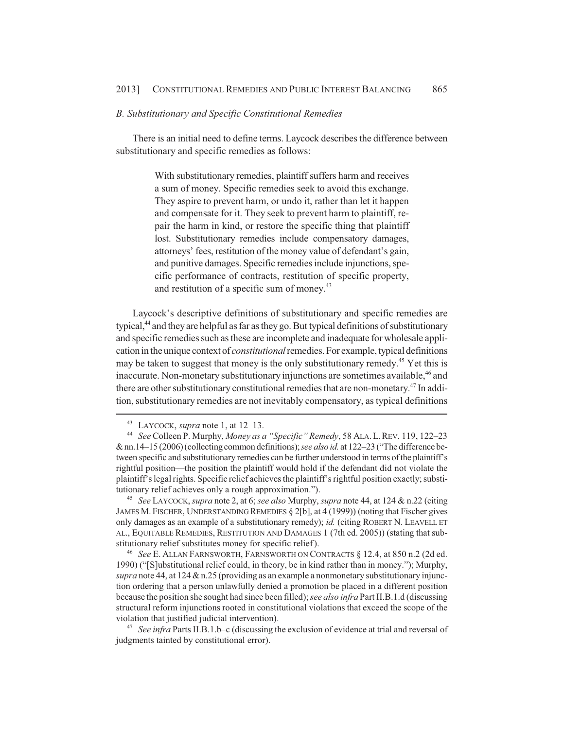#### *B. Substitutionary and Specific Constitutional Remedies*

There is an initial need to define terms. Laycock describes the difference between substitutionary and specific remedies as follows:

> With substitutionary remedies, plaintiff suffers harm and receives a sum of money. Specific remedies seek to avoid this exchange. They aspire to prevent harm, or undo it, rather than let it happen and compensate for it. They seek to prevent harm to plaintiff, repair the harm in kind, or restore the specific thing that plaintiff lost. Substitutionary remedies include compensatory damages, attorneys' fees, restitution of the money value of defendant's gain, and punitive damages. Specific remedies include injunctions, specific performance of contracts, restitution of specific property, and restitution of a specific sum of money.<sup>43</sup>

Laycock's descriptive definitions of substitutionary and specific remedies are typical, $44$  and they are helpful as far as they go. But typical definitions of substitutionary and specific remedies such as these are incomplete and inadequate for wholesale application in the unique context of *constitutional* remedies. For example, typical definitions may be taken to suggest that money is the only substitutionary remedy.<sup>45</sup> Yet this is inaccurate. Non-monetary substitutionary injunctions are sometimes available,<sup>46</sup> and there are other substitutionary constitutional remedies that are non-monetary.<sup>47</sup> In addition, substitutionary remedies are not inevitably compensatory, as typical definitions

<sup>45</sup> *See* LAYCOCK, *supra* note 2, at 6; *see also* Murphy, *supra* note 44, at 124 & n.22 (citing JAMES M. FISCHER, UNDERSTANDING REMEDIES § 2[b], at 4 (1999)) (noting that Fischer gives only damages as an example of a substitutionary remedy); *id.* (citing ROBERT N. LEAVELL ET AL., EQUITABLE REMEDIES, RESTITUTION AND DAMAGES 1 (7th ed. 2005)) (stating that substitutionary relief substitutes money for specific relief ).

<sup>46</sup> *See* E. ALLAN FARNSWORTH, FARNSWORTH ON CONTRACTS § 12.4, at 850 n.2 (2d ed. 1990) ("[S]ubstitutional relief could, in theory, be in kind rather than in money."); Murphy, *supra* note 44, at 124 & n.25 (providing as an example a nonmonetary substitutionary injunction ordering that a person unlawfully denied a promotion be placed in a different position because the position she sought had since been filled); *see also infra* Part II.B.1.d (discussing structural reform injunctions rooted in constitutional violations that exceed the scope of the violation that justified judicial intervention).

<sup>47</sup> *See infra* Parts II.B.1.b–c (discussing the exclusion of evidence at trial and reversal of judgments tainted by constitutional error).

<sup>43</sup> LAYCOCK, *supra* note 1, at 12–13.

<sup>44</sup> *See* Colleen P. Murphy, *Money as a "Specific" Remedy*, 58 ALA.L.REV. 119, 122–23 & nn.14–15 (2006) (collecting common definitions); *see also id.* at 122–23 ("The difference between specific and substitutionary remedies can be further understood in terms of the plaintiff's rightful position—the position the plaintiff would hold if the defendant did not violate the plaintiff's legal rights. Specific relief achieves the plaintiff's rightful position exactly; substitutionary relief achieves only a rough approximation.").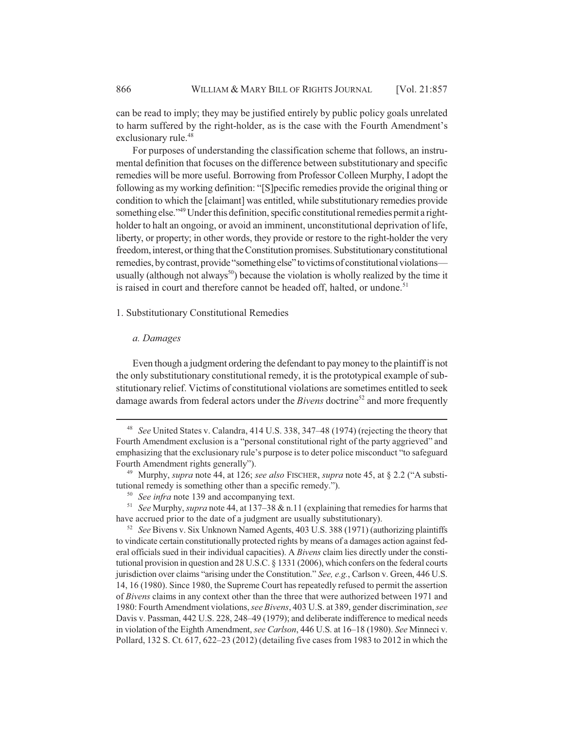can be read to imply; they may be justified entirely by public policy goals unrelated to harm suffered by the right-holder, as is the case with the Fourth Amendment's exclusionary rule.<sup>48</sup>

For purposes of understanding the classification scheme that follows, an instrumental definition that focuses on the difference between substitutionary and specific remedies will be more useful. Borrowing from Professor Colleen Murphy, I adopt the following as my working definition: "[S]pecific remedies provide the original thing or condition to which the [claimant] was entitled, while substitutionary remedies provide something else."<sup>49</sup> Under this definition, specific constitutional remedies permit a rightholder to halt an ongoing, or avoid an imminent, unconstitutional deprivation of life, liberty, or property; in other words, they provide or restore to the right-holder the very freedom, interest, or thing that the Constitution promises. Substitutionary constitutional remedies, by contrast, provide "something else" to victims of constitutional violations usually (although not always<sup>50</sup>) because the violation is wholly realized by the time it is raised in court and therefore cannot be headed off, halted, or undone.<sup>51</sup>

1. Substitutionary Constitutional Remedies

## *a. Damages*

Even though a judgment ordering the defendant to pay money to the plaintiff is not the only substitutionary constitutional remedy, it is the prototypical example of substitutionary relief. Victims of constitutional violations are sometimes entitled to seek damage awards from federal actors under the *Bivens* doctrine<sup>52</sup> and more frequently

<sup>48</sup> *See* United States v. Calandra, 414 U.S. 338, 347–48 (1974) (rejecting the theory that Fourth Amendment exclusion is a "personal constitutional right of the party aggrieved" and emphasizing that the exclusionary rule's purpose is to deter police misconduct "to safeguard Fourth Amendment rights generally").

<sup>49</sup> Murphy, *supra* note 44, at 126; *see also* FISCHER, *supra* note 45, at § 2.2 ("A substitutional remedy is something other than a specific remedy.").

<sup>50</sup> *See infra* note 139 and accompanying text.

<sup>51</sup> *See* Murphy, *supra* note 44, at 137–38 & n.11 (explaining that remedies for harms that have accrued prior to the date of a judgment are usually substitutionary).

<sup>52</sup> *See* Bivens v. Six Unknown Named Agents, 403 U.S. 388 (1971) (authorizing plaintiffs to vindicate certain constitutionally protected rights by means of a damages action against federal officials sued in their individual capacities). A *Bivens* claim lies directly under the constitutional provision in question and 28 U.S.C. § 1331 (2006), which confers on the federal courts jurisdiction over claims "arising under the Constitution." *See, e.g.*, Carlson v. Green, 446 U.S. 14, 16 (1980). Since 1980, the Supreme Court has repeatedly refused to permit the assertion of *Bivens* claims in any context other than the three that were authorized between 1971 and 1980: Fourth Amendment violations, *see Bivens*, 403 U.S. at 389, gender discrimination, *see* Davis v. Passman, 442 U.S. 228, 248–49 (1979); and deliberate indifference to medical needs in violation of the Eighth Amendment, *see Carlson*, 446 U.S. at 16–18 (1980). *See* Minneci v. Pollard, 132 S. Ct. 617, 622–23 (2012) (detailing five cases from 1983 to 2012 in which the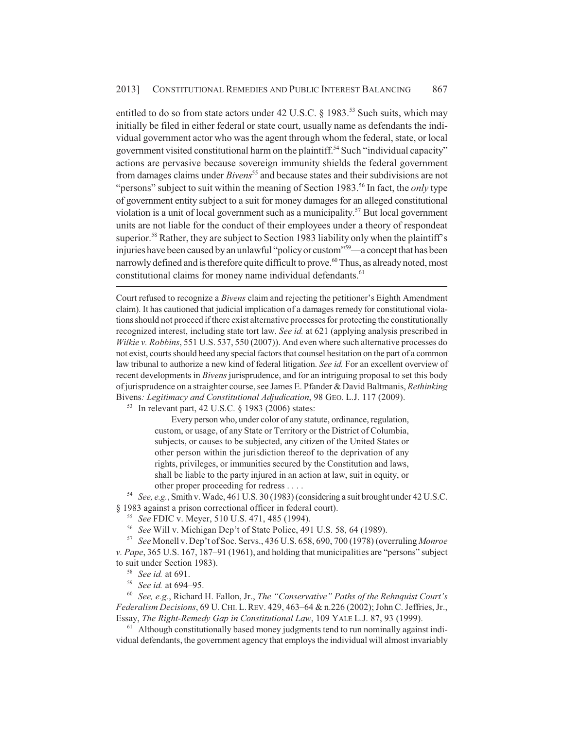entitled to do so from state actors under  $42$  U.S.C. § 1983.<sup>53</sup> Such suits, which may initially be filed in either federal or state court, usually name as defendants the individual government actor who was the agent through whom the federal, state, or local government visited constitutional harm on the plaintiff.<sup>54</sup> Such "individual capacity" actions are pervasive because sovereign immunity shields the federal government from damages claims under *Bivens*<sup>55</sup> and because states and their subdivisions are not "persons" subject to suit within the meaning of Section 1983.<sup>56</sup> In fact, the *only* type of government entity subject to a suit for money damages for an alleged constitutional violation is a unit of local government such as a municipality.<sup>57</sup> But local government units are not liable for the conduct of their employees under a theory of respondeat superior.<sup>58</sup> Rather, they are subject to Section 1983 liability only when the plaintiff's injuries have been caused by an unlawful "policy or custom"59—a concept that has been narrowly defined and is therefore quite difficult to prove.<sup>60</sup> Thus, as already noted, most constitutional claims for money name individual defendants.<sup>61</sup>

Court refused to recognize a *Bivens* claim and rejecting the petitioner's Eighth Amendment claim). It has cautioned that judicial implication of a damages remedy for constitutional violations should not proceed if there exist alternative processes for protecting the constitutionally recognized interest, including state tort law. *See id.* at 621 (applying analysis prescribed in *Wilkie v. Robbins*, 551 U.S. 537, 550 (2007)). And even where such alternative processes do not exist, courts should heed any special factors that counsel hesitation on the part of a common law tribunal to authorize a new kind of federal litigation. *See id.* For an excellent overview of recent developments in *Bivens* jurisprudence, and for an intriguing proposal to set this body of jurisprudence on a straighter course, see James E. Pfander & David Baltmanis, *Rethinking* Bivens*: Legitimacy and Constitutional Adjudication*, 98 GEO. L.J. 117 (2009).

<sup>53</sup> In relevant part, 42 U.S.C. § 1983 (2006) states:

Every person who, under color of any statute, ordinance, regulation, custom, or usage, of any State or Territory or the District of Columbia, subjects, or causes to be subjected, any citizen of the United States or other person within the jurisdiction thereof to the deprivation of any rights, privileges, or immunities secured by the Constitution and laws, shall be liable to the party injured in an action at law, suit in equity, or other proper proceeding for redress . . . .

<sup>54</sup> *See, e.g.*, Smith v. Wade, 461 U.S. 30 (1983) (considering a suit brought under 42 U.S.C. § 1983 against a prison correctional officer in federal court).

<sup>55</sup> *See* FDIC v. Meyer, 510 U.S. 471, 485 (1994).

<sup>56</sup> *See* Will v. Michigan Dep't of State Police, 491 U.S. 58, 64 (1989).

<sup>57</sup> *See* Monell v. Dep't of Soc. Servs., 436 U.S. 658, 690, 700 (1978) (overruling *Monroe v. Pape*, 365 U.S. 167, 187–91 (1961), and holding that municipalities are "persons" subject to suit under Section 1983).

<sup>58</sup> *See id.* at 691.

<sup>59</sup> *See id.* at 694–95.

<sup>60</sup> *See, e.g.*, Richard H. Fallon, Jr., *The "Conservative" Paths of the Rehnquist Court's Federalism Decisions*, 69 U.CHI. L.REV. 429, 463–64 & n.226 (2002); John C. Jeffries, Jr., Essay, *The Right-Remedy Gap in Constitutional Law*, 109 YALE L.J. 87, 93 (1999).

 $61$  Although constitutionally based money judgments tend to run nominally against individual defendants, the government agency that employs the individual will almost invariably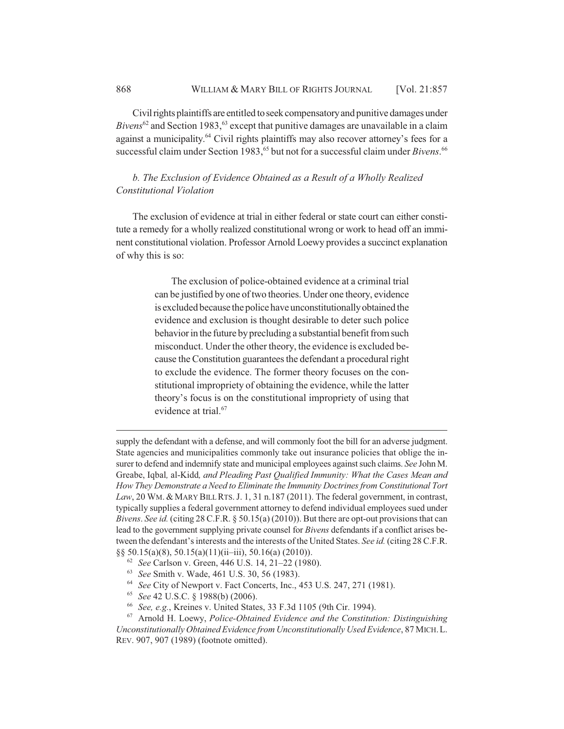Civil rights plaintiffs are entitled to seek compensatory and punitive damages under *Bivens*<sup>62</sup> and Section 1983,<sup>63</sup> except that punitive damages are unavailable in a claim against a municipality.<sup>64</sup> Civil rights plaintiffs may also recover attorney's fees for a successful claim under Section 1983,<sup>65</sup> but not for a successful claim under *Bivens*.<sup>66</sup>

*b. The Exclusion of Evidence Obtained as a Result of a Wholly Realized Constitutional Violation*

The exclusion of evidence at trial in either federal or state court can either constitute a remedy for a wholly realized constitutional wrong or work to head off an imminent constitutional violation. Professor Arnold Loewy provides a succinct explanation of why this is so:

> The exclusion of police-obtained evidence at a criminal trial can be justified by one of two theories. Under one theory, evidence is excluded because the police have unconstitutionally obtained the evidence and exclusion is thought desirable to deter such police behavior in the future by precluding a substantial benefit from such misconduct. Under the other theory, the evidence is excluded because the Constitution guarantees the defendant a procedural right to exclude the evidence. The former theory focuses on the constitutional impropriety of obtaining the evidence, while the latter theory's focus is on the constitutional impropriety of using that evidence at trial.<sup>67</sup>

supply the defendant with a defense, and will commonly foot the bill for an adverse judgment. State agencies and municipalities commonly take out insurance policies that oblige the insurer to defend and indemnify state and municipal employees against such claims. *See* John M. Greabe, Iqbal*,* al-Kidd*, and Pleading Past Qualified Immunity: What the Cases Mean and How They Demonstrate a Need to Eliminate the Immunity Doctrines from Constitutional Tort* Law, 20 WM. & MARY BILL RTS. J. 1, 31 n.187 (2011). The federal government, in contrast, typically supplies a federal government attorney to defend individual employees sued under *Bivens*. *See id.* (citing 28 C.F.R. § 50.15(a) (2010)). But there are opt-out provisions that can lead to the government supplying private counsel for *Bivens* defendants if a conflict arises between the defendant's interests and the interests of the United States. *See id.* (citing 28 C.F.R. §§ 50.15(a)(8), 50.15(a)(11)(ii–iii), 50.16(a) (2010)).

- <sup>62</sup> *See* Carlson v. Green, 446 U.S. 14, 21–22 (1980).
- <sup>63</sup> *See* Smith v. Wade, 461 U.S. 30, 56 (1983).
- <sup>64</sup> *See* City of Newport v. Fact Concerts, Inc., 453 U.S. 247, 271 (1981).
- <sup>65</sup> *See* 42 U.S.C. § 1988(b) (2006).
- <sup>66</sup> *See, e.g.*, Kreines v. United States, 33 F.3d 1105 (9th Cir. 1994).

<sup>67</sup> Arnold H. Loewy, *Police-Obtained Evidence and the Constitution: Distinguishing Unconstitutionally Obtained Evidence from Unconstitutionally Used Evidence*, 87 MICH.L. REV. 907, 907 (1989) (footnote omitted).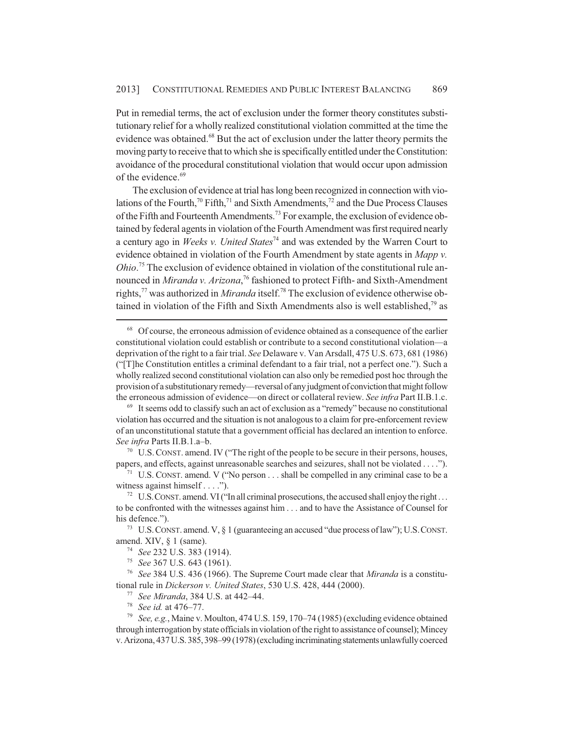Put in remedial terms, the act of exclusion under the former theory constitutes substitutionary relief for a wholly realized constitutional violation committed at the time the evidence was obtained.<sup>68</sup> But the act of exclusion under the latter theory permits the moving party to receive that to which she is specifically entitled under the Constitution: avoidance of the procedural constitutional violation that would occur upon admission of the evidence.<sup>69</sup>

The exclusion of evidence at trial has long been recognized in connection with violations of the Fourth,<sup>70</sup> Fifth,<sup>71</sup> and Sixth Amendments,<sup>72</sup> and the Due Process Clauses of the Fifth and Fourteenth Amendments.<sup>73</sup> For example, the exclusion of evidence obtained by federal agents in violation of the Fourth Amendment was first required nearly a century ago in *Weeks v. United States*74 and was extended by the Warren Court to evidence obtained in violation of the Fourth Amendment by state agents in *Mapp v. Ohio*. 75 The exclusion of evidence obtained in violation of the constitutional rule announced in *Miranda v. Arizona*, 76 fashioned to protect Fifth- and Sixth-Amendment rights,77 was authorized in *Miranda* itself.78 The exclusion of evidence otherwise obtained in violation of the Fifth and Sixth Amendments also is well established.<sup>79</sup> as

<sup>68</sup> Of course, the erroneous admission of evidence obtained as a consequence of the earlier constitutional violation could establish or contribute to a second constitutional violation—a deprivation of the right to a fair trial. *See* Delaware v. Van Arsdall, 475 U.S. 673, 681 (1986) ("[T]he Constitution entitles a criminal defendant to a fair trial, not a perfect one."). Such a wholly realized second constitutional violation can also only be remedied post hoc through the provision of a substitutionary remedy—reversal of any judgment of conviction that might follow the erroneous admission of evidence—on direct or collateral review. *See infra* Part II.B.1.c.

 $69$  It seems odd to classify such an act of exclusion as a "remedy" because no constitutional violation has occurred and the situation is not analogous to a claim for pre-enforcement review of an unconstitutional statute that a government official has declared an intention to enforce. *See infra* Parts II.B.1.a–b.

 $70\,$  U.S. CONST. amend. IV ("The right of the people to be secure in their persons, houses, papers, and effects, against unreasonable searches and seizures, shall not be violated . . . .").

<sup>&</sup>lt;sup>71</sup> U.S. CONST. amend. V ("No person  $\dots$  shall be compelled in any criminal case to be a witness against himself . . . .").

<sup>&</sup>lt;sup>72</sup> U.S. CONST. amend. VI ("In all criminal prosecutions, the accused shall enjoy the right... to be confronted with the witnesses against him . . . and to have the Assistance of Counsel for his defence.").

<sup>&</sup>lt;sup>73</sup> U.S. CONST. amend. V,  $\S$  1 (guaranteeing an accused "due process of law"); U.S. CONST. amend. XIV, § 1 (same).

<sup>74</sup> *See* 232 U.S. 383 (1914).

<sup>75</sup> *See* 367 U.S. 643 (1961).

<sup>76</sup> *See* 384 U.S. 436 (1966). The Supreme Court made clear that *Miranda* is a constitutional rule in *Dickerson v. United States*, 530 U.S. 428, 444 (2000).

<sup>77</sup> *See Miranda*, 384 U.S. at 442–44.

<sup>78</sup> *See id.* at 476–77.

<sup>79</sup> *See, e.g.*, Maine v. Moulton, 474 U.S. 159, 170–74 (1985) (excluding evidence obtained through interrogation by state officials in violation of the right to assistance of counsel); Mincey v. Arizona, 437 U.S. 385, 398–99 (1978) (excluding incriminating statements unlawfully coerced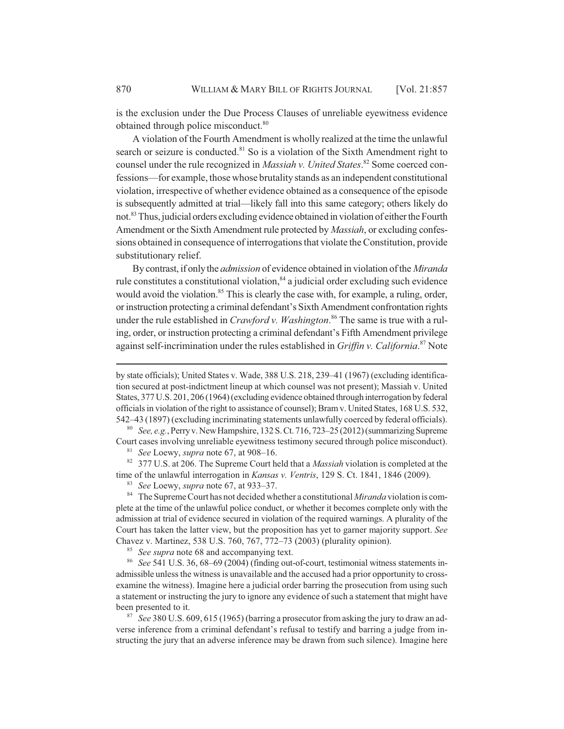is the exclusion under the Due Process Clauses of unreliable eyewitness evidence obtained through police misconduct.<sup>80</sup>

A violation of the Fourth Amendment is wholly realized at the time the unlawful search or seizure is conducted.<sup>81</sup> So is a violation of the Sixth Amendment right to counsel under the rule recognized in *Massiah v. United States*. 82 Some coerced confessions—for example, those whose brutality stands as an independent constitutional violation, irrespective of whether evidence obtained as a consequence of the episode is subsequently admitted at trial—likely fall into this same category; others likely do not.83 Thus, judicial orders excluding evidence obtained in violation of either the Fourth Amendment or the Sixth Amendment rule protected by *Massiah*, or excluding confessions obtained in consequence of interrogations that violate the Constitution, provide substitutionary relief.

By contrast, if only the *admission* of evidence obtained in violation of the *Miranda* rule constitutes a constitutional violation, $84$  a judicial order excluding such evidence would avoid the violation.<sup>85</sup> This is clearly the case with, for example, a ruling, order, or instruction protecting a criminal defendant's Sixth Amendment confrontation rights under the rule established in *Crawford v. Washington*. 86 The same is true with a ruling, order, or instruction protecting a criminal defendant's Fifth Amendment privilege against self-incrimination under the rules established in *Griffin v. California*. 87 Note

<sup>82</sup> 377 U.S. at 206. The Supreme Court held that a *Massiah* violation is completed at the time of the unlawful interrogation in *Kansas v. Ventris*, 129 S. Ct. 1841, 1846 (2009).

<sup>83</sup> *See* Loewy, *supra* note 67, at 933–37.

<sup>84</sup> The Supreme Court has not decided whether a constitutional *Miranda* violation is complete at the time of the unlawful police conduct, or whether it becomes complete only with the admission at trial of evidence secured in violation of the required warnings. A plurality of the Court has taken the latter view, but the proposition has yet to garner majority support. *See* Chavez v. Martinez, 538 U.S. 760, 767, 772–73 (2003) (plurality opinion).

<sup>85</sup> *See supra* note 68 and accompanying text.

<sup>86</sup> *See* 541 U.S. 36, 68–69 (2004) (finding out-of-court, testimonial witness statements inadmissible unless the witness is unavailable and the accused had a prior opportunity to crossexamine the witness). Imagine here a judicial order barring the prosecution from using such a statement or instructing the jury to ignore any evidence of such a statement that might have been presented to it.

<sup>87</sup> *See* 380 U.S. 609, 615 (1965) (barring a prosecutor from asking the jury to draw an adverse inference from a criminal defendant's refusal to testify and barring a judge from instructing the jury that an adverse inference may be drawn from such silence). Imagine here

by state officials); United States v. Wade, 388 U.S. 218, 239–41 (1967) (excluding identification secured at post-indictment lineup at which counsel was not present); Massiah v. United States, 377 U.S. 201, 206 (1964) (excluding evidence obtained through interrogation by federal officials in violation of the right to assistance of counsel); Bram v. United States, 168 U.S. 532, 542–43 (1897) (excluding incriminating statements unlawfully coerced by federal officials).

<sup>80</sup> *See, e.g.*, Perry v. New Hampshire, 132 S. Ct. 716, 723–25 (2012) (summarizing Supreme Court cases involving unreliable eyewitness testimony secured through police misconduct).

<sup>81</sup> *See* Loewy, *supra* note 67, at 908–16.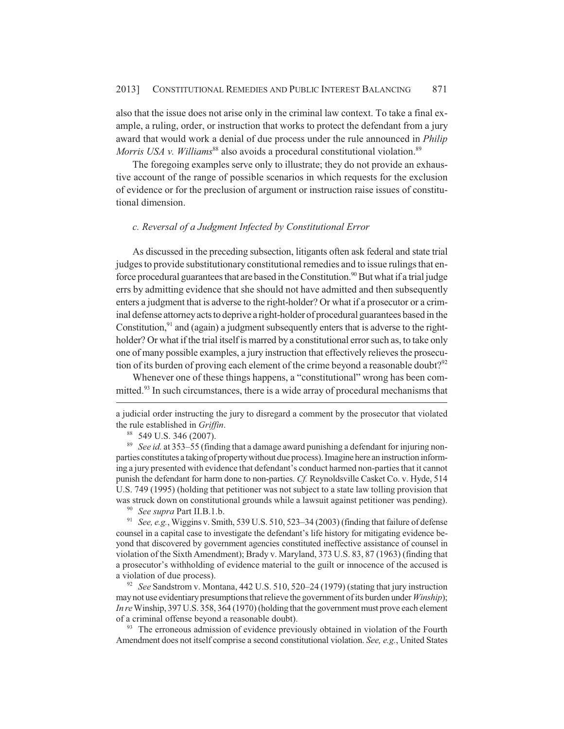also that the issue does not arise only in the criminal law context. To take a final example, a ruling, order, or instruction that works to protect the defendant from a jury award that would work a denial of due process under the rule announced in *Philip Morris USA v. Williams*<sup>88</sup> also avoids a procedural constitutional violation.<sup>89</sup>

The foregoing examples serve only to illustrate; they do not provide an exhaustive account of the range of possible scenarios in which requests for the exclusion of evidence or for the preclusion of argument or instruction raise issues of constitutional dimension.

## *c. Reversal of a Judgment Infected by Constitutional Error*

As discussed in the preceding subsection, litigants often ask federal and state trial judges to provide substitutionary constitutional remedies and to issue rulings that enforce procedural guarantees that are based in the Constitution.<sup>90</sup> But what if a trial judge errs by admitting evidence that she should not have admitted and then subsequently enters a judgment that is adverse to the right-holder? Or what if a prosecutor or a criminal defense attorney acts to deprive a right-holder of procedural guarantees based in the Constitution, $91$  and (again) a judgment subsequently enters that is adverse to the rightholder? Or what if the trial itself is marred by a constitutional error such as, to take only one of many possible examples, a jury instruction that effectively relieves the prosecution of its burden of proving each element of the crime beyond a reasonable doubt?<sup>92</sup>

Whenever one of these things happens, a "constitutional" wrong has been committed.<sup>93</sup> In such circumstances, there is a wide array of procedural mechanisms that

a judicial order instructing the jury to disregard a comment by the prosecutor that violated the rule established in *Griffin*.

<sup>90</sup> *See supra* Part II.B.1.b.

<sup>91</sup> *See, e.g.*, Wiggins v. Smith, 539 U.S. 510, 523–34 (2003) (finding that failure of defense counsel in a capital case to investigate the defendant's life history for mitigating evidence beyond that discovered by government agencies constituted ineffective assistance of counsel in violation of the Sixth Amendment); Brady v. Maryland, 373 U.S. 83, 87 (1963) (finding that a prosecutor's withholding of evidence material to the guilt or innocence of the accused is a violation of due process).

<sup>92</sup> *See* Sandstrom v. Montana, 442 U.S. 510, 520–24 (1979) (stating that jury instruction may not use evidentiary presumptions that relieve the government of its burden under *Winship*); *In re* Winship, 397 U.S. 358, 364 (1970) (holding that the government must prove each element of a criminal offense beyond a reasonable doubt).

<sup>93</sup> The erroneous admission of evidence previously obtained in violation of the Fourth Amendment does not itself comprise a second constitutional violation. *See, e.g.*, United States

<sup>88</sup> 549 U.S. 346 (2007).

<sup>89</sup> *See id.* at 353–55 (finding that a damage award punishing a defendant for injuring nonparties constitutes a taking of property without due process). Imagine here an instruction informing a jury presented with evidence that defendant's conduct harmed non-parties that it cannot punish the defendant for harm done to non-parties. *Cf.* Reynoldsville Casket Co. v. Hyde, 514 U.S. 749 (1995) (holding that petitioner was not subject to a state law tolling provision that was struck down on constitutional grounds while a lawsuit against petitioner was pending).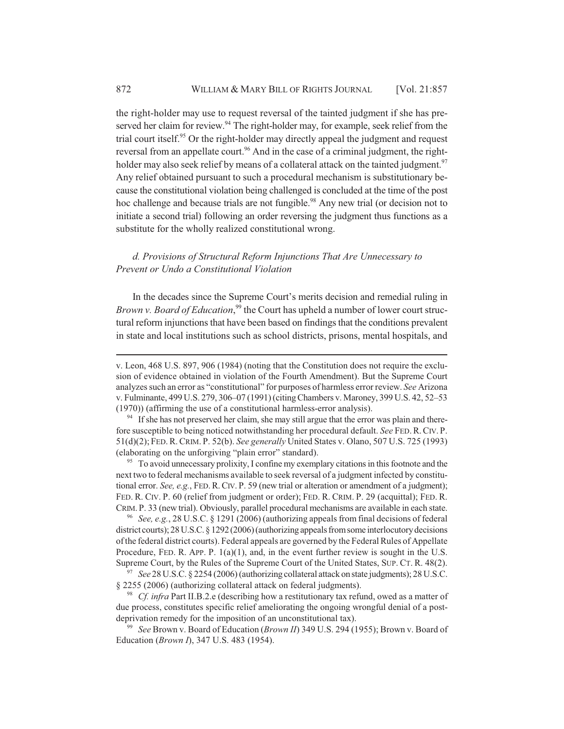the right-holder may use to request reversal of the tainted judgment if she has preserved her claim for review. $94$  The right-holder may, for example, seek relief from the trial court itself. $95$  Or the right-holder may directly appeal the judgment and request reversal from an appellate court.<sup>96</sup> And in the case of a criminal judgment, the rightholder may also seek relief by means of a collateral attack on the tainted judgment.<sup>97</sup> Any relief obtained pursuant to such a procedural mechanism is substitutionary because the constitutional violation being challenged is concluded at the time of the post hoc challenge and because trials are not fungible.<sup>98</sup> Any new trial (or decision not to initiate a second trial) following an order reversing the judgment thus functions as a substitute for the wholly realized constitutional wrong.

# *d. Provisions of Structural Reform Injunctions That Are Unnecessary to Prevent or Undo a Constitutional Violation*

In the decades since the Supreme Court's merits decision and remedial ruling in *Brown v. Board of Education*,<sup>99</sup> the Court has upheld a number of lower court structural reform injunctions that have been based on findings that the conditions prevalent in state and local institutions such as school districts, prisons, mental hospitals, and

<sup>95</sup> To avoid unnecessary prolixity, I confine my exemplary citations in this footnote and the next two to federal mechanisms available to seek reversal of a judgment infected by constitutional error. *See, e.g.*, FED.R.CIV. P. 59 (new trial or alteration or amendment of a judgment); FED. R. CIV. P. 60 (relief from judgment or order); FED. R. CRIM. P. 29 (acquittal); FED. R. CRIM. P. 33 (new trial). Obviously, parallel procedural mechanisms are available in each state.

<sup>96</sup> *See, e.g.*, 28 U.S.C. § 1291 (2006) (authorizing appeals from final decisions of federal district courts); 28 U.S.C. § 1292 (2006) (authorizing appeals from some interlocutory decisions of the federal district courts). Federal appeals are governed by the Federal Rules of Appellate Procedure, FED. R. APP. P.  $1(a)(1)$ , and, in the event further review is sought in the U.S. Supreme Court, by the Rules of the Supreme Court of the United States, SUP. CT. R. 48(2).

<sup>97</sup> *See* 28 U.S.C. § 2254 (2006) (authorizing collateral attack on state judgments); 28 U.S.C. § 2255 (2006) (authorizing collateral attack on federal judgments).

<sup>98</sup> *Cf. infra* Part II.B.2.e (describing how a restitutionary tax refund, owed as a matter of due process, constitutes specific relief ameliorating the ongoing wrongful denial of a postdeprivation remedy for the imposition of an unconstitutional tax).

<sup>99</sup> *See* Brown v. Board of Education (*Brown II*) 349 U.S. 294 (1955); Brown v. Board of Education (*Brown I*), 347 U.S. 483 (1954).

v. Leon, 468 U.S. 897, 906 (1984) (noting that the Constitution does not require the exclusion of evidence obtained in violation of the Fourth Amendment). But the Supreme Court analyzes such an error as "constitutional" for purposes of harmless error review. *See* Arizona v. Fulminante, 499 U.S. 279, 306–07 (1991) (citing Chambers v. Maroney, 399 U.S. 42, 52–53 (1970)) (affirming the use of a constitutional harmless-error analysis).

<sup>&</sup>lt;sup>94</sup> If she has not preserved her claim, she may still argue that the error was plain and therefore susceptible to being noticed notwithstanding her procedural default. *See* FED.R.CIV. P. 51(d)(2); FED.R.CRIM. P. 52(b). *See generally* United States v. Olano, 507 U.S. 725 (1993) (elaborating on the unforgiving "plain error" standard).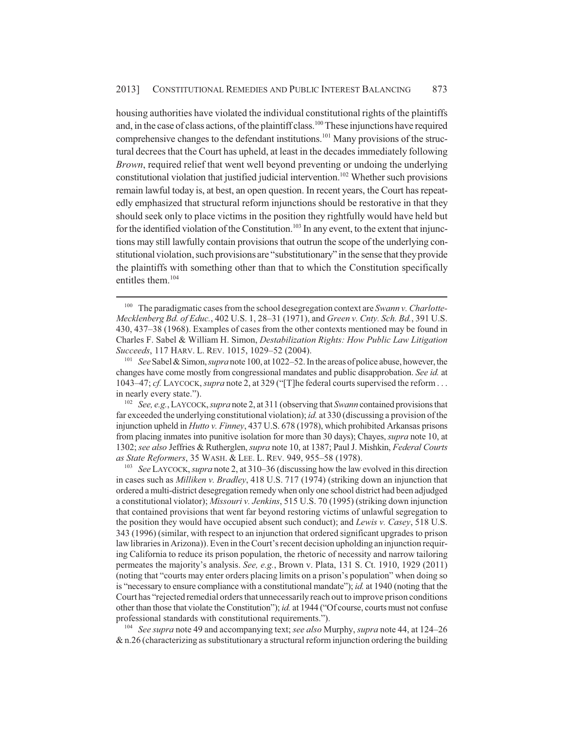housing authorities have violated the individual constitutional rights of the plaintiffs and, in the case of class actions, of the plaintiff class.<sup>100</sup> These injunctions have required comprehensive changes to the defendant institutions.<sup>101</sup> Many provisions of the structural decrees that the Court has upheld, at least in the decades immediately following *Brown*, required relief that went well beyond preventing or undoing the underlying constitutional violation that justified judicial intervention.<sup>102</sup> Whether such provisions remain lawful today is, at best, an open question. In recent years, the Court has repeatedly emphasized that structural reform injunctions should be restorative in that they should seek only to place victims in the position they rightfully would have held but for the identified violation of the Constitution.<sup>103</sup> In any event, to the extent that injunctions may still lawfully contain provisions that outrun the scope of the underlying constitutional violation, such provisions are "substitutionary" in the sense that they provide the plaintiffs with something other than that to which the Constitution specifically entitles them.104

<sup>102</sup> *See, e.g.*, LAYCOCK, *supra* note 2, at 311 (observing that *Swann* contained provisions that far exceeded the underlying constitutional violation); *id.* at 330 (discussing a provision of the injunction upheld in *Hutto v. Finney*, 437 U.S. 678 (1978), which prohibited Arkansas prisons from placing inmates into punitive isolation for more than 30 days); Chayes, *supra* note 10, at 1302; *see also* Jeffries & Rutherglen, *supra* note 10, at 1387; Paul J. Mishkin, *Federal Courts as State Reformers*, 35 WASH. & LEE. L. REV. 949, 955–58 (1978).

<sup>103</sup> *See* LAYCOCK, *supra* note 2, at 310–36 (discussing how the law evolved in this direction in cases such as *Milliken v. Bradley*, 418 U.S. 717 (1974) (striking down an injunction that ordered a multi-district desegregation remedy when only one school district had been adjudged a constitutional violator); *Missouri v. Jenkins*, 515 U.S. 70 (1995) (striking down injunction that contained provisions that went far beyond restoring victims of unlawful segregation to the position they would have occupied absent such conduct); and *Lewis v. Casey*, 518 U.S. 343 (1996) (similar, with respect to an injunction that ordered significant upgrades to prison law libraries in Arizona)). Even in the Court's recent decision upholding an injunction requiring California to reduce its prison population, the rhetoric of necessity and narrow tailoring permeates the majority's analysis. *See, e.g.*, Brown v. Plata, 131 S. Ct. 1910, 1929 (2011) (noting that "courts may enter orders placing limits on a prison's population" when doing so is "necessary to ensure compliance with a constitutional mandate"); *id.* at 1940 (noting that the Court has "rejected remedial orders that unnecessarily reach out to improve prison conditions other than those that violate the Constitution"); *id.* at 1944 ("Of course, courts must not confuse professional standards with constitutional requirements.").

<sup>104</sup> *See supra* note 49 and accompanying text; *see also* Murphy, *supra* note 44, at 124–26  $&$  n.26 (characterizing as substitutionary a structural reform injunction ordering the building

<sup>100</sup> The paradigmatic cases from the school desegregation context are *Swann v. Charlotte-Mecklenberg Bd. of Educ.*, 402 U.S. 1, 28–31 (1971), and *Green v. Cnty. Sch. Bd.*, 391 U.S. 430, 437–38 (1968). Examples of cases from the other contexts mentioned may be found in Charles F. Sabel & William H. Simon, *Destabilization Rights: How Public Law Litigation Succeeds*, 117 HARV. L. REV. 1015, 1029–52 (2004).

<sup>101</sup> *See* Sabel & Simon, *supra* note 100, at 1022–52. In the areas of police abuse, however, the changes have come mostly from congressional mandates and public disapprobation. *See id.* at 1043–47; *cf.* LAYCOCK, *supra* note 2, at 329 ("[T]he federal courts supervised the reform . . . in nearly every state.").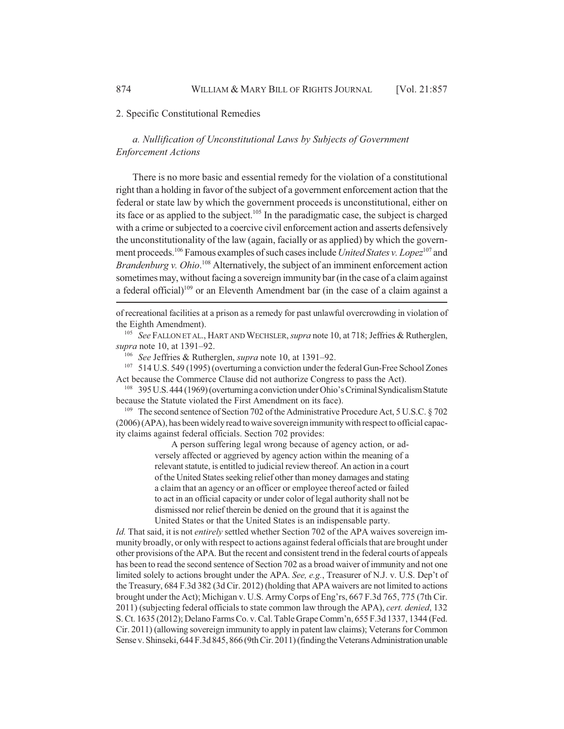## 2. Specific Constitutional Remedies

# *a. Nullification of Unconstitutional Laws by Subjects of Government Enforcement Actions*

There is no more basic and essential remedy for the violation of a constitutional right than a holding in favor of the subject of a government enforcement action that the federal or state law by which the government proceeds is unconstitutional, either on its face or as applied to the subject.<sup>105</sup> In the paradigmatic case, the subject is charged with a crime or subjected to a coercive civil enforcement action and asserts defensively the unconstitutionality of the law (again, facially or as applied) by which the government proceeds.106 Famous examples of such cases include *United States v. Lopez*107 and Brandenburg v. Ohio.<sup>108</sup> Alternatively, the subject of an imminent enforcement action sometimes may, without facing a sovereign immunity bar (in the case of a claim against a federal official)<sup>109</sup> or an Eleventh Amendment bar (in the case of a claim against a

of recreational facilities at a prison as a remedy for past unlawful overcrowding in violation of the Eighth Amendment).

<sup>105</sup> *See* FALLON ET AL., HART AND WECHSLER, *supra* note 10, at 718; Jeffries & Rutherglen, *supra* note 10, at 1391–92.

<sup>106</sup> *See* Jeffries & Rutherglen, *supra* note 10, at 1391–92.

<sup>107</sup> 514 U.S. 549 (1995) (overturning a conviction under the federal Gun-Free School Zones Act because the Commerce Clause did not authorize Congress to pass the Act).

<sup>108</sup> 395 U.S. 444 (1969) (overturning a conviction under Ohio's Criminal Syndicalism Statute because the Statute violated the First Amendment on its face).

<sup>109</sup> The second sentence of Section 702 of the Administrative Procedure Act, 5 U.S.C. § 702 (2006) (APA), has been widely read to waive sovereign immunity with respect to official capacity claims against federal officials. Section 702 provides:

> A person suffering legal wrong because of agency action, or adversely affected or aggrieved by agency action within the meaning of a relevant statute, is entitled to judicial review thereof. An action in a court of the United States seeking relief other than money damages and stating a claim that an agency or an officer or employee thereof acted or failed to act in an official capacity or under color of legal authority shall not be dismissed nor relief therein be denied on the ground that it is against the United States or that the United States is an indispensable party.

*Id.* That said, it is not *entirely* settled whether Section 702 of the APA waives sovereign immunity broadly, or only with respect to actions against federal officials that are brought under other provisions of the APA. But the recent and consistent trend in the federal courts of appeals has been to read the second sentence of Section 702 as a broad waiver of immunity and not one limited solely to actions brought under the APA. *See, e.g.*, Treasurer of N.J. v. U.S. Dep't of the Treasury, 684 F.3d 382 (3d Cir. 2012) (holding that APA waivers are not limited to actions brought under the Act); Michigan v. U.S. Army Corps of Eng'rs, 667 F.3d 765, 775 (7th Cir. 2011) (subjecting federal officials to state common law through the APA), *cert. denied*, 132 S. Ct. 1635 (2012); Delano Farms Co. v. Cal. Table Grape Comm'n, 655 F.3d 1337, 1344 (Fed. Cir. 2011) (allowing sovereign immunity to apply in patent law claims); Veterans for Common Sense v. Shinseki, 644 F.3d 845, 866 (9th Cir. 2011) (finding the Veterans Administration unable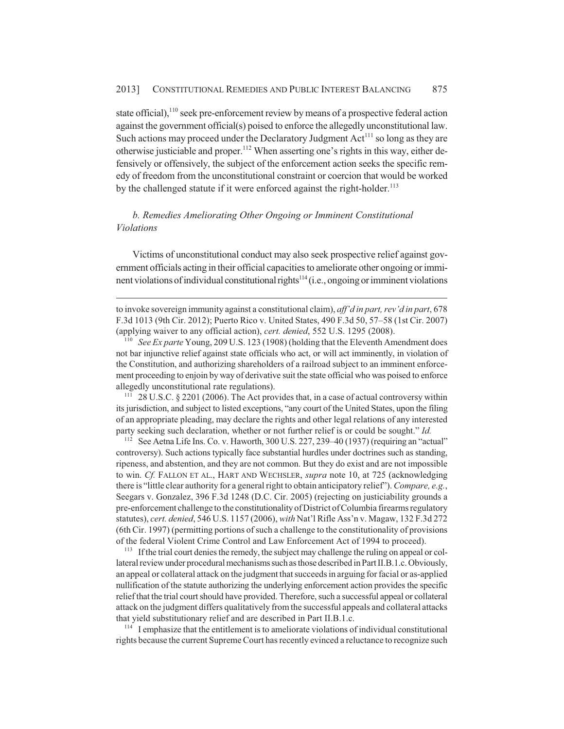state official),<sup>110</sup> seek pre-enforcement review by means of a prospective federal action against the government official(s) poised to enforce the allegedly unconstitutional law. Such actions may proceed under the Declaratory Judgment  $Act^{111}$  so long as they are otherwise justiciable and proper.<sup>112</sup> When asserting one's rights in this way, either defensively or offensively, the subject of the enforcement action seeks the specific remedy of freedom from the unconstitutional constraint or coercion that would be worked by the challenged statute if it were enforced against the right-holder.<sup>113</sup>

# *b. Remedies Ameliorating Other Ongoing or Imminent Constitutional Violations*

Victims of unconstitutional conduct may also seek prospective relief against government officials acting in their official capacities to ameliorate other ongoing or imminent violations of individual constitutional rights<sup>114</sup> (i.e., ongoing or imminent violations

<sup>111</sup> 28 U.S.C. § 2201 (2006). The Act provides that, in a case of actual controversy within its jurisdiction, and subject to listed exceptions, "any court of the United States, upon the filing of an appropriate pleading, may declare the rights and other legal relations of any interested party seeking such declaration, whether or not further relief is or could be sought." *Id.*

<sup>112</sup> See Aetna Life Ins. Co. v. Haworth, 300 U.S. 227, 239–40 (1937) (requiring an "actual" controversy). Such actions typically face substantial hurdles under doctrines such as standing, ripeness, and abstention, and they are not common. But they do exist and are not impossible to win. *Cf.* FALLON ET AL., HART AND WECHSLER, *supra* note 10, at 725 (acknowledging there is "little clear authority for a general right to obtain anticipatory relief"). *Compare, e.g.*, Seegars v. Gonzalez, 396 F.3d 1248 (D.C. Cir. 2005) (rejecting on justiciability grounds a pre-enforcement challenge to the constitutionality of District of Columbia firearms regulatory statutes), *cert. denied*, 546 U.S. 1157 (2006), *with* Nat'l Rifle Ass'n v. Magaw, 132 F.3d 272 (6th Cir. 1997) (permitting portions of such a challenge to the constitutionality of provisions of the federal Violent Crime Control and Law Enforcement Act of 1994 to proceed).

<sup>113</sup> If the trial court denies the remedy, the subject may challenge the ruling on appeal or collateral review under procedural mechanisms such as those described in Part II.B.1.c. Obviously, an appeal or collateral attack on the judgment that succeeds in arguing for facial or as-applied nullification of the statute authorizing the underlying enforcement action provides the specific relief that the trial court should have provided. Therefore, such a successful appeal or collateral attack on the judgment differs qualitatively from the successful appeals and collateral attacks that yield substitutionary relief and are described in Part II.B.1.c.

<sup>114</sup> I emphasize that the entitlement is to ameliorate violations of individual constitutional rights because the current Supreme Court has recently evinced a reluctance to recognize such

to invoke sovereign immunity against a constitutional claim), *aff'd in part, rev'd in part*, 678 F.3d 1013 (9th Cir. 2012); Puerto Rico v. United States, 490 F.3d 50, 57–58 (1st Cir. 2007) (applying waiver to any official action), *cert. denied*, 552 U.S. 1295 (2008).

<sup>110</sup> *See Ex parte* Young, 209 U.S. 123 (1908) (holding that the Eleventh Amendment does not bar injunctive relief against state officials who act, or will act imminently, in violation of the Constitution, and authorizing shareholders of a railroad subject to an imminent enforcement proceeding to enjoin by way of derivative suit the state official who was poised to enforce allegedly unconstitutional rate regulations).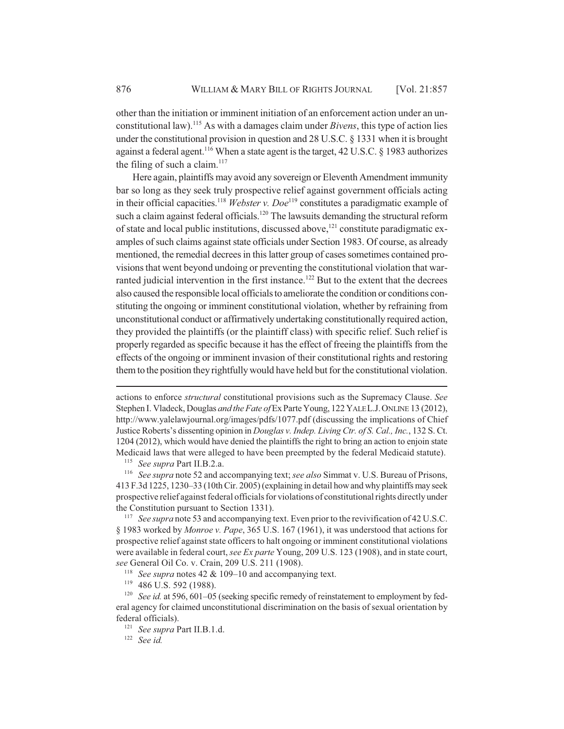other than the initiation or imminent initiation of an enforcement action under an unconstitutional law).115 As with a damages claim under *Bivens*, this type of action lies under the constitutional provision in question and 28 U.S.C. § 1331 when it is brought against a federal agent.<sup>116</sup> When a state agent is the target, 42 U.S.C. § 1983 authorizes the filing of such a claim. $117$ 

Here again, plaintiffs may avoid any sovereign or Eleventh Amendment immunity bar so long as they seek truly prospective relief against government officials acting in their official capacities.<sup>118</sup> *Webster v. Doe*<sup>119</sup> constitutes a paradigmatic example of such a claim against federal officials.<sup>120</sup> The lawsuits demanding the structural reform of state and local public institutions, discussed above,<sup>121</sup> constitute paradigmatic examples of such claims against state officials under Section 1983. Of course, as already mentioned, the remedial decrees in this latter group of cases sometimes contained provisions that went beyond undoing or preventing the constitutional violation that warranted judicial intervention in the first instance.<sup>122</sup> But to the extent that the decrees also caused the responsible local officials to ameliorate the condition or conditions constituting the ongoing or imminent constitutional violation, whether by refraining from unconstitutional conduct or affirmatively undertaking constitutionally required action, they provided the plaintiffs (or the plaintiff class) with specific relief. Such relief is properly regarded as specific because it has the effect of freeing the plaintiffs from the effects of the ongoing or imminent invasion of their constitutional rights and restoring them to the position they rightfully would have held but for the constitutional violation.

actions to enforce *structural* constitutional provisions such as the Supremacy Clause. *See* Stephen I. Vladeck, Douglas *and the Fate of* Ex Parte Young, 122 YALE L.J.ONLINE 13 (2012), http://www.yalelawjournal.org/images/pdfs/1077.pdf (discussing the implications of Chief Justice Roberts's dissenting opinion in *Douglas v. Indep. Living Ctr. of S. Cal., Inc.*, 132 S. Ct. 1204 (2012), which would have denied the plaintiffs the right to bring an action to enjoin state Medicaid laws that were alleged to have been preempted by the federal Medicaid statute).

<sup>115</sup> *See supra* Part II.B.2.a.

<sup>116</sup> *See supra* note 52 and accompanying text; *see also* Simmat v. U.S. Bureau of Prisons, 413 F.3d 1225, 1230–33 (10th Cir. 2005) (explaining in detail how and why plaintiffs may seek prospective relief against federal officials for violations of constitutional rights directly under the Constitution pursuant to Section 1331).

<sup>&</sup>lt;sup>117</sup> *See supra* note 53 and accompanying text. Even prior to the revivification of 42 U.S.C. § 1983 worked by *Monroe v. Pape*, 365 U.S. 167 (1961), it was understood that actions for prospective relief against state officers to halt ongoing or imminent constitutional violations were available in federal court, *see Ex parte* Young, 209 U.S. 123 (1908), and in state court, *see* General Oil Co. v. Crain, 209 U.S. 211 (1908).

<sup>118</sup> *See supra* notes 42 & 109–10 and accompanying text.

<sup>119</sup> 486 U.S. 592 (1988).

<sup>&</sup>lt;sup>120</sup> *See id.* at 596, 601–05 (seeking specific remedy of reinstatement to employment by federal agency for claimed unconstitutional discrimination on the basis of sexual orientation by federal officials).

<sup>121</sup> *See supra* Part II.B.1.d.

<sup>122</sup> *See id.*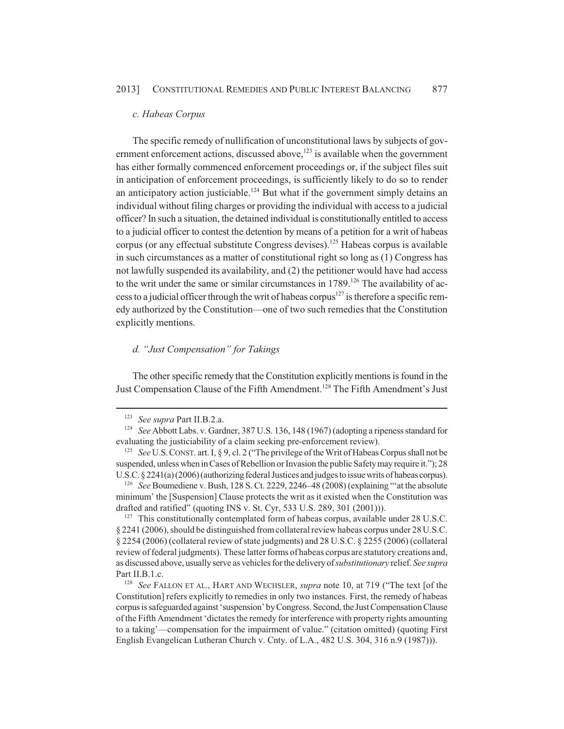#### *c. Habeas Corpus*

The specific remedy of nullification of unconstitutional laws by subjects of government enforcement actions, discussed above, $123$  is available when the government has either formally commenced enforcement proceedings or, if the subject files suit in anticipation of enforcement proceedings, is sufficiently likely to do so to render an anticipatory action justiciable.<sup>124</sup> But what if the government simply detains an individual without filing charges or providing the individual with access to a judicial officer? In such a situation, the detained individual is constitutionally entitled to access to a judicial officer to contest the detention by means of a petition for a writ of habeas corpus (or any effectual substitute Congress devises).<sup>125</sup> Habeas corpus is available in such circumstances as a matter of constitutional right so long as (1) Congress has not lawfully suspended its availability, and (2) the petitioner would have had access to the writ under the same or similar circumstances in  $1789$ .<sup>126</sup> The availability of access to a judicial officer through the writ of habeas corpus<sup>127</sup> is therefore a specific remedy authorized by the Constitution—one of two such remedies that the Constitution explicitly mentions.

## *d. "Just Compensation" for Takings*

The other specific remedy that the Constitution explicitly mentions is found in the Just Compensation Clause of the Fifth Amendment.<sup>128</sup> The Fifth Amendment's Just

<sup>126</sup> *See* Boumediene v. Bush, 128 S. Ct. 2229, 2246–48 (2008) (explaining "'at the absolute minimum' the [Suspension] Clause protects the writ as it existed when the Constitution was drafted and ratified" (quoting INS v. St. Cyr, 533 U.S. 289, 301 (2001))).

<sup>127</sup> This constitutionally contemplated form of habeas corpus, available under 28 U.S.C. § 2241 (2006), should be distinguished from collateral review habeas corpus under 28 U.S.C. § 2254 (2006) (collateral review of state judgments) and 28 U.S.C. § 2255 (2006) (collateral review of federal judgments). These latter forms of habeas corpus are statutory creations and, as discussed above, usually serve as vehicles for the delivery of *substitutionary* relief. *See supra* Part II.B.1.c.

<sup>123</sup> *See supra* Part II.B.2.a.

<sup>124</sup> *See* Abbott Labs. v. Gardner, 387 U.S. 136, 148 (1967) (adopting a ripeness standard for evaluating the justiciability of a claim seeking pre-enforcement review).

<sup>125</sup> *See* U.S.CONST. art. I, § 9, cl. 2 ("The privilege of the Writ of Habeas Corpus shall not be suspended, unless when in Cases of Rebellion or Invasion the public Safety may require it."); 28 U.S.C. § 2241(a) (2006) (authorizing federal Justices and judges to issue writs of habeas corpus).

<sup>128</sup> *See* FALLON ET AL., HART AND WECHSLER, *supra* note 10, at 719 ("The text [of the Constitution] refers explicitly to remedies in only two instances. First, the remedy of habeas corpus is safeguarded against 'suspension' by Congress. Second, the Just Compensation Clause of the Fifth Amendment 'dictates the remedy for interference with property rights amounting to a taking'—compensation for the impairment of value." (citation omitted) (quoting First English Evangelican Lutheran Church v. Cnty. of L.A., 482 U.S. 304, 316 n.9 (1987))).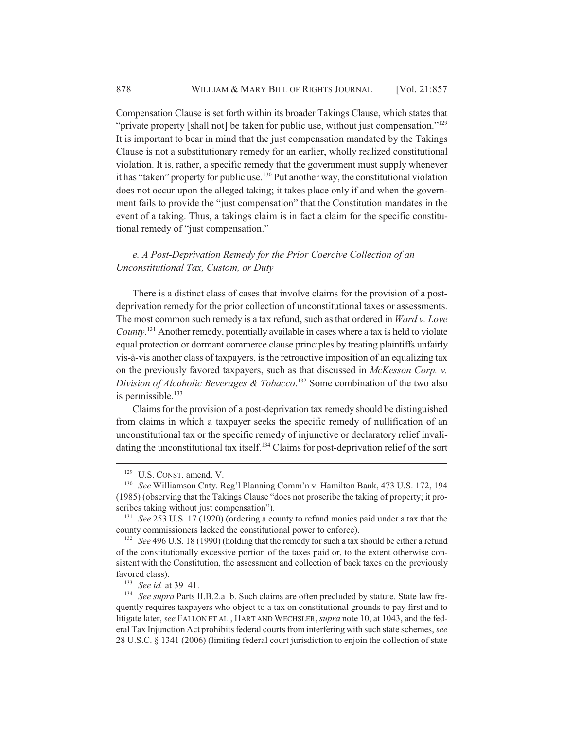Compensation Clause is set forth within its broader Takings Clause, which states that "private property [shall not] be taken for public use, without just compensation."<sup>129</sup> It is important to bear in mind that the just compensation mandated by the Takings Clause is not a substitutionary remedy for an earlier, wholly realized constitutional violation. It is, rather, a specific remedy that the government must supply whenever it has "taken" property for public use.<sup>130</sup> Put another way, the constitutional violation does not occur upon the alleged taking; it takes place only if and when the government fails to provide the "just compensation" that the Constitution mandates in the event of a taking. Thus, a takings claim is in fact a claim for the specific constitutional remedy of "just compensation."

## *e. A Post-Deprivation Remedy for the Prior Coercive Collection of an Unconstitutional Tax, Custom, or Duty*

There is a distinct class of cases that involve claims for the provision of a postdeprivation remedy for the prior collection of unconstitutional taxes or assessments. The most common such remedy is a tax refund, such as that ordered in *Ward v. Love County*. 131 Another remedy, potentially available in cases where a tax is held to violate equal protection or dormant commerce clause principles by treating plaintiffs unfairly vis-à-vis another class of taxpayers, is the retroactive imposition of an equalizing tax on the previously favored taxpayers, such as that discussed in *McKesson Corp. v. Division of Alcoholic Beverages & Tobacco*. 132 Some combination of the two also is permissible. $133$ 

Claims for the provision of a post-deprivation tax remedy should be distinguished from claims in which a taxpayer seeks the specific remedy of nullification of an unconstitutional tax or the specific remedy of injunctive or declaratory relief invalidating the unconstitutional tax itself.<sup>134</sup> Claims for post-deprivation relief of the sort

<sup>&</sup>lt;sup>129</sup> U.S. CONST. amend. V.

<sup>130</sup> *See* Williamson Cnty. Reg'l Planning Comm'n v. Hamilton Bank, 473 U.S. 172, 194 (1985) (observing that the Takings Clause "does not proscribe the taking of property; it proscribes taking without just compensation").

<sup>131</sup> *See* 253 U.S. 17 (1920) (ordering a county to refund monies paid under a tax that the county commissioners lacked the constitutional power to enforce).

<sup>&</sup>lt;sup>132</sup> *See* 496 U.S. 18 (1990) (holding that the remedy for such a tax should be either a refund of the constitutionally excessive portion of the taxes paid or, to the extent otherwise consistent with the Constitution, the assessment and collection of back taxes on the previously favored class).

<sup>133</sup> *See id.* at 39–41.

<sup>134</sup> *See supra* Parts II.B.2.a–b. Such claims are often precluded by statute. State law frequently requires taxpayers who object to a tax on constitutional grounds to pay first and to litigate later, *see* FALLON ET AL., HART AND WECHSLER, *supra* note 10, at 1043, and the federal Tax Injunction Act prohibits federal courts from interfering with such state schemes, *see* 28 U.S.C. § 1341 (2006) (limiting federal court jurisdiction to enjoin the collection of state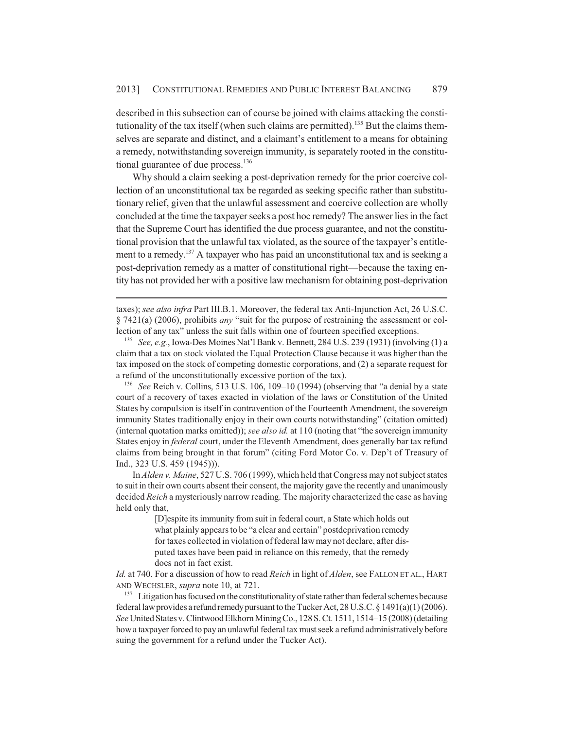described in this subsection can of course be joined with claims attacking the constitutionality of the tax itself (when such claims are permitted).<sup>135</sup> But the claims themselves are separate and distinct, and a claimant's entitlement to a means for obtaining a remedy, notwithstanding sovereign immunity, is separately rooted in the constitutional guarantee of due process. $136$ 

Why should a claim seeking a post-deprivation remedy for the prior coercive collection of an unconstitutional tax be regarded as seeking specific rather than substitutionary relief, given that the unlawful assessment and coercive collection are wholly concluded at the time the taxpayer seeks a post hoc remedy? The answer lies in the fact that the Supreme Court has identified the due process guarantee, and not the constitutional provision that the unlawful tax violated, as the source of the taxpayer's entitlement to a remedy.<sup>137</sup> A taxpayer who has paid an unconstitutional tax and is seeking a post-deprivation remedy as a matter of constitutional right—because the taxing entity has not provided her with a positive law mechanism for obtaining post-deprivation

taxes); *see also infra* Part III.B.1. Moreover, the federal tax Anti-Injunction Act, 26 U.S.C. § 7421(a) (2006), prohibits *any* "suit for the purpose of restraining the assessment or collection of any tax" unless the suit falls within one of fourteen specified exceptions.

<sup>135</sup> *See, e.g.*, Iowa-Des Moines Nat'l Bank v. Bennett, 284 U.S. 239 (1931) (involving (1) a claim that a tax on stock violated the Equal Protection Clause because it was higher than the tax imposed on the stock of competing domestic corporations, and (2) a separate request for a refund of the unconstitutionally excessive portion of the tax).

<sup>136</sup> *See* Reich v. Collins, 513 U.S. 106, 109–10 (1994) (observing that "a denial by a state court of a recovery of taxes exacted in violation of the laws or Constitution of the United States by compulsion is itself in contravention of the Fourteenth Amendment, the sovereign immunity States traditionally enjoy in their own courts notwithstanding" (citation omitted) (internal quotation marks omitted)); *see also id.* at 110 (noting that "the sovereign immunity States enjoy in *federal* court, under the Eleventh Amendment, does generally bar tax refund claims from being brought in that forum" (citing Ford Motor Co. v. Dep't of Treasury of Ind., 323 U.S. 459 (1945))).

In *Alden v. Maine*, 527 U.S. 706 (1999), which held that Congress may not subject states to suit in their own courts absent their consent, the majority gave the recently and unanimously decided *Reich* a mysteriously narrow reading. The majority characterized the case as having held only that,

> [D]espite its immunity from suit in federal court, a State which holds out what plainly appears to be "a clear and certain" postdeprivation remedy for taxes collected in violation of federal law may not declare, after disputed taxes have been paid in reliance on this remedy, that the remedy does not in fact exist.

*Id.* at 740. For a discussion of how to read *Reich* in light of *Alden*, see FALLON ET AL., HART AND WECHSLER, *supra* note 10, at 721.

<sup>137</sup> Litigation has focused on the constitutionality of state rather than federal schemes because federal law provides a refund remedy pursuant to the Tucker Act, 28 U.S.C. § 1491(a)(1) (2006). *See* United States v. Clintwood Elkhorn Mining Co., 128 S. Ct. 1511, 1514–15 (2008) (detailing how a taxpayer forced to pay an unlawful federal tax must seek a refund administratively before suing the government for a refund under the Tucker Act).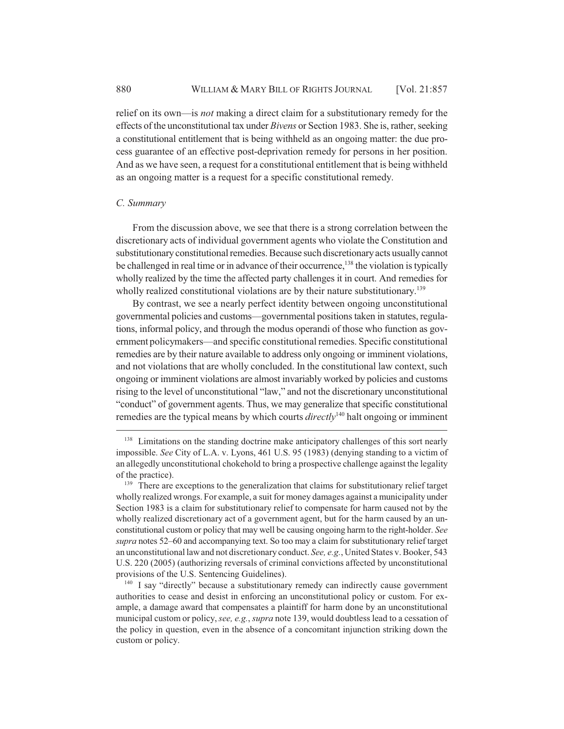relief on its own—is *not* making a direct claim for a substitutionary remedy for the effects of the unconstitutional tax under *Bivens* or Section 1983. She is, rather, seeking a constitutional entitlement that is being withheld as an ongoing matter: the due process guarantee of an effective post-deprivation remedy for persons in her position. And as we have seen, a request for a constitutional entitlement that is being withheld as an ongoing matter is a request for a specific constitutional remedy.

## *C. Summary*

From the discussion above, we see that there is a strong correlation between the discretionary acts of individual government agents who violate the Constitution and substitutionary constitutional remedies. Because such discretionary acts usually cannot be challenged in real time or in advance of their occurrence,<sup>138</sup> the violation is typically wholly realized by the time the affected party challenges it in court. And remedies for wholly realized constitutional violations are by their nature substitutionary.<sup>139</sup>

By contrast, we see a nearly perfect identity between ongoing unconstitutional governmental policies and customs—governmental positions taken in statutes, regulations, informal policy, and through the modus operandi of those who function as government policymakers—and specific constitutional remedies. Specific constitutional remedies are by their nature available to address only ongoing or imminent violations, and not violations that are wholly concluded. In the constitutional law context, such ongoing or imminent violations are almost invariably worked by policies and customs rising to the level of unconstitutional "law," and not the discretionary unconstitutional "conduct" of government agents. Thus, we may generalize that specific constitutional remedies are the typical means by which courts *directly*140 halt ongoing or imminent

<sup>&</sup>lt;sup>138</sup> Limitations on the standing doctrine make anticipatory challenges of this sort nearly impossible. *See* City of L.A. v. Lyons, 461 U.S. 95 (1983) (denying standing to a victim of an allegedly unconstitutional chokehold to bring a prospective challenge against the legality of the practice).

<sup>&</sup>lt;sup>139</sup> There are exceptions to the generalization that claims for substitutionary relief target wholly realized wrongs. For example, a suit for money damages against a municipality under Section 1983 is a claim for substitutionary relief to compensate for harm caused not by the wholly realized discretionary act of a government agent, but for the harm caused by an unconstitutional custom or policy that may well be causing ongoing harm to the right-holder. *See supra* notes 52–60 and accompanying text. So too may a claim for substitutionary relief target an unconstitutional law and not discretionary conduct. *See, e.g.*, United States v. Booker, 543 U.S. 220 (2005) (authorizing reversals of criminal convictions affected by unconstitutional provisions of the U.S. Sentencing Guidelines).

<sup>&</sup>lt;sup>140</sup> I say "directly" because a substitutionary remedy can indirectly cause government authorities to cease and desist in enforcing an unconstitutional policy or custom. For example, a damage award that compensates a plaintiff for harm done by an unconstitutional municipal custom or policy, *see, e.g.*, *supra* note 139, would doubtless lead to a cessation of the policy in question, even in the absence of a concomitant injunction striking down the custom or policy.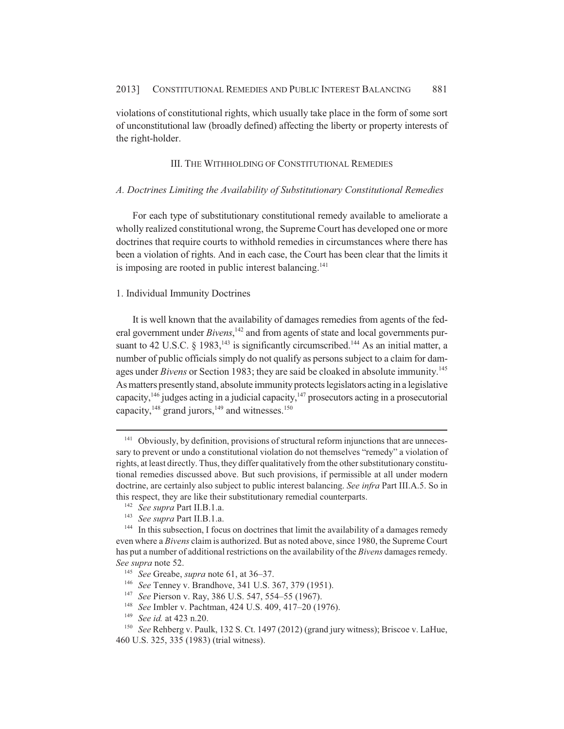violations of constitutional rights, which usually take place in the form of some sort of unconstitutional law (broadly defined) affecting the liberty or property interests of the right-holder.

## III. THE WITHHOLDING OF CONSTITUTIONAL REMEDIES

### *A. Doctrines Limiting the Availability of Substitutionary Constitutional Remedies*

For each type of substitutionary constitutional remedy available to ameliorate a wholly realized constitutional wrong, the Supreme Court has developed one or more doctrines that require courts to withhold remedies in circumstances where there has been a violation of rights. And in each case, the Court has been clear that the limits it is imposing are rooted in public interest balancing.<sup>141</sup>

## 1. Individual Immunity Doctrines

It is well known that the availability of damages remedies from agents of the federal government under *Bivens*,<sup>142</sup> and from agents of state and local governments pursuant to 42 U.S.C.  $\hat{\zeta}$  1983, <sup>143</sup> is significantly circumscribed.<sup>144</sup> As an initial matter, a number of public officials simply do not qualify as persons subject to a claim for damages under *Bivens* or Section 1983; they are said be cloaked in absolute immunity.<sup>145</sup> As matters presently stand, absolute immunity protects legislators acting in a legislative capacity,146 judges acting in a judicial capacity,147 prosecutors acting in a prosecutorial capacity, $148$  grand jurors, $149$  and witnesses.<sup>150</sup>

- <sup>146</sup> *See* Tenney v. Brandhove, 341 U.S. 367, 379 (1951).
- <sup>147</sup> *See* Pierson v. Ray, 386 U.S. 547, 554–55 (1967).
- <sup>148</sup> *See* Imbler v. Pachtman, 424 U.S. 409, 417–20 (1976).
- <sup>149</sup> *See id.* at 423 n.20.

<sup>&</sup>lt;sup>141</sup> Obviously, by definition, provisions of structural reform injunctions that are unnecessary to prevent or undo a constitutional violation do not themselves "remedy" a violation of rights, at least directly. Thus, they differ qualitatively from the other substitutionary constitutional remedies discussed above. But such provisions, if permissible at all under modern doctrine, are certainly also subject to public interest balancing. *See infra* Part III.A.5. So in this respect, they are like their substitutionary remedial counterparts.

<sup>142</sup> *See supra* Part II.B.1.a.

<sup>143</sup> *See supra* Part II.B.1.a.

<sup>&</sup>lt;sup>144</sup> In this subsection, I focus on doctrines that limit the availability of a damages remedy even where a *Bivens* claim is authorized. But as noted above, since 1980, the Supreme Court has put a number of additional restrictions on the availability of the *Bivens* damages remedy. *See supra* note 52.

<sup>145</sup> *See* Greabe, *supra* note 61, at 36–37.

<sup>150</sup> *See* Rehberg v. Paulk, 132 S. Ct. 1497 (2012) (grand jury witness); Briscoe v. LaHue, 460 U.S. 325, 335 (1983) (trial witness).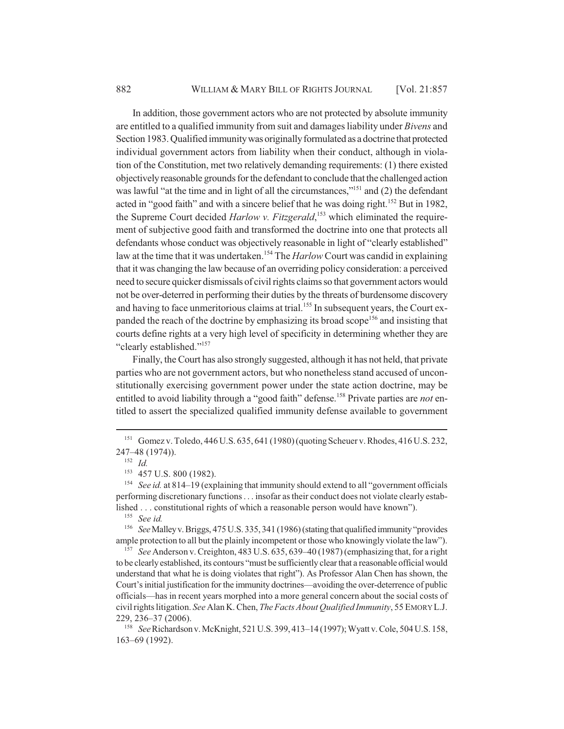In addition, those government actors who are not protected by absolute immunity are entitled to a qualified immunity from suit and damages liability under *Bivens* and Section 1983. Qualified immunity was originally formulated as a doctrine that protected individual government actors from liability when their conduct, although in violation of the Constitution, met two relatively demanding requirements: (1) there existed objectively reasonable grounds for the defendant to conclude that the challenged action was lawful "at the time and in light of all the circumstances,"<sup>151</sup> and (2) the defendant acted in "good faith" and with a sincere belief that he was doing right.<sup>152</sup> But in 1982, the Supreme Court decided *Harlow v. Fitzgerald*, 153 which eliminated the requirement of subjective good faith and transformed the doctrine into one that protects all defendants whose conduct was objectively reasonable in light of "clearly established" law at the time that it was undertaken.154 The *Harlow* Court was candid in explaining that it was changing the law because of an overriding policy consideration: a perceived need to secure quicker dismissals of civil rights claims so that government actors would not be over-deterred in performing their duties by the threats of burdensome discovery and having to face unmeritorious claims at trial.<sup>155</sup> In subsequent years, the Court expanded the reach of the doctrine by emphasizing its broad scope<sup>156</sup> and insisting that courts define rights at a very high level of specificity in determining whether they are "clearly established."157

Finally, the Court has also strongly suggested, although it has not held, that private parties who are not government actors, but who nonetheless stand accused of unconstitutionally exercising government power under the state action doctrine, may be entitled to avoid liability through a "good faith" defense.<sup>158</sup> Private parties are *not* entitled to assert the specialized qualified immunity defense available to government

<sup>151</sup> Gomez v. Toledo, 446 U.S. 635, 641 (1980) (quoting Scheuer v. Rhodes, 416 U.S. 232, 247–48 (1974)).

<sup>152</sup> *Id.*

<sup>&</sup>lt;sup>153</sup> 457 U.S. 800 (1982).

<sup>&</sup>lt;sup>154</sup> *See id.* at 814–19 (explaining that immunity should extend to all "government officials" performing discretionary functions . . . insofar as their conduct does not violate clearly established . . . constitutional rights of which a reasonable person would have known").

<sup>155</sup> *See id.*

<sup>156</sup> *See* Malley v. Briggs, 475 U.S. 335, 341 (1986) (stating that qualified immunity "provides ample protection to all but the plainly incompetent or those who knowingly violate the law").

<sup>&</sup>lt;sup>157</sup> See Anderson v. Creighton, 483 U.S. 635, 639–40 (1987) (emphasizing that, for a right to be clearly established, its contours "must be sufficiently clear that a reasonable official would understand that what he is doing violates that right"). As Professor Alan Chen has shown, the Court's initial justification for the immunity doctrines—avoiding the over-deterrence of public officials—has in recent years morphed into a more general concern about the social costs of civil rights litigation. *See* Alan K. Chen, *The Facts About Qualified Immunity*, 55 EMORY L.J. 229, 236–37 (2006).

<sup>158</sup> *See* Richardson v. McKnight, 521 U.S. 399, 413–14 (1997); Wyatt v. Cole, 504 U.S. 158, 163–69 (1992).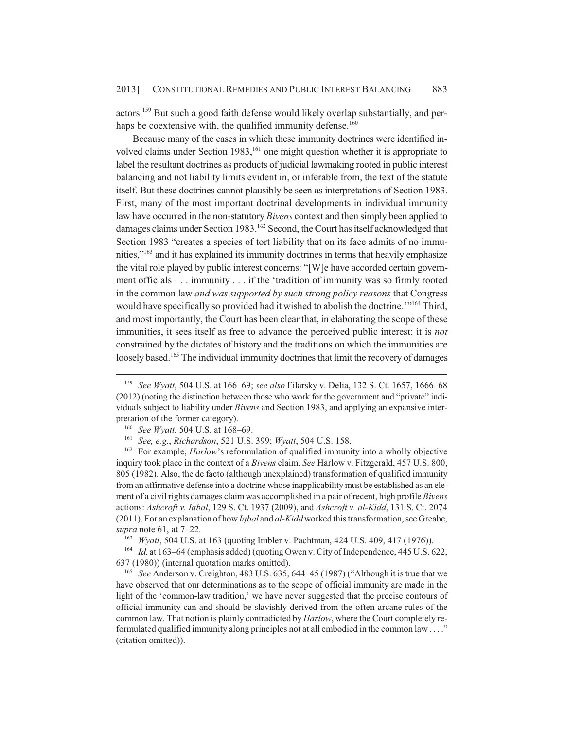actors.159 But such a good faith defense would likely overlap substantially, and perhaps be coextensive with, the qualified immunity defense.<sup>160</sup>

Because many of the cases in which these immunity doctrines were identified involved claims under Section 1983, $^{161}$  one might question whether it is appropriate to label the resultant doctrines as products of judicial lawmaking rooted in public interest balancing and not liability limits evident in, or inferable from, the text of the statute itself. But these doctrines cannot plausibly be seen as interpretations of Section 1983. First, many of the most important doctrinal developments in individual immunity law have occurred in the non-statutory *Bivens* context and then simply been applied to damages claims under Section 1983.<sup>162</sup> Second, the Court has itself acknowledged that Section 1983 "creates a species of tort liability that on its face admits of no immunities,"<sup>163</sup> and it has explained its immunity doctrines in terms that heavily emphasize the vital role played by public interest concerns: "[W]e have accorded certain government officials . . . immunity . . . if the 'tradition of immunity was so firmly rooted in the common law *and was supported by such strong policy reasons* that Congress would have specifically so provided had it wished to abolish the doctrine.'"164 Third, and most importantly, the Court has been clear that, in elaborating the scope of these immunities, it sees itself as free to advance the perceived public interest; it is *not* constrained by the dictates of history and the traditions on which the immunities are loosely based.<sup>165</sup> The individual immunity doctrines that limit the recovery of damages

<sup>163</sup> *Wyatt*, 504 U.S. at 163 (quoting Imbler v. Pachtman, 424 U.S. 409, 417 (1976)).

<sup>164</sup> *Id.* at 163–64 (emphasis added) (quoting Owen v. City of Independence, 445 U.S. 622, 637 (1980)) (internal quotation marks omitted).

<sup>159</sup> *See Wyatt*, 504 U.S. at 166–69; *see also* Filarsky v. Delia, 132 S. Ct. 1657, 1666–68 (2012) (noting the distinction between those who work for the government and "private" individuals subject to liability under *Bivens* and Section 1983, and applying an expansive interpretation of the former category).

<sup>160</sup> *See Wyatt*, 504 U.S. at 168–69.

<sup>161</sup> *See, e.g.*, *Richardson*, 521 U.S. 399; *Wyatt*, 504 U.S. 158.

<sup>&</sup>lt;sup>162</sup> For example, *Harlow*'s reformulation of qualified immunity into a wholly objective inquiry took place in the context of a *Bivens* claim. *See* Harlow v. Fitzgerald, 457 U.S. 800, 805 (1982). Also, the de facto (although unexplained) transformation of qualified immunity from an affirmative defense into a doctrine whose inapplicability must be established as an element of a civil rights damages claim was accomplished in a pair of recent, high profile *Bivens* actions: *Ashcroft v. Iqbal*, 129 S. Ct. 1937 (2009), and *Ashcroft v. al-Kidd*, 131 S. Ct. 2074 (2011). For an explanation of how *Iqbal* and *al-Kidd* worked this transformation, see Greabe, *supra* note 61, at 7–22.

<sup>165</sup> *See* Anderson v. Creighton, 483 U.S. 635, 644–45 (1987) ("Although it is true that we have observed that our determinations as to the scope of official immunity are made in the light of the 'common-law tradition,' we have never suggested that the precise contours of official immunity can and should be slavishly derived from the often arcane rules of the common law. That notion is plainly contradicted by *Harlow*, where the Court completely reformulated qualified immunity along principles not at all embodied in the common law . . . ." (citation omitted)).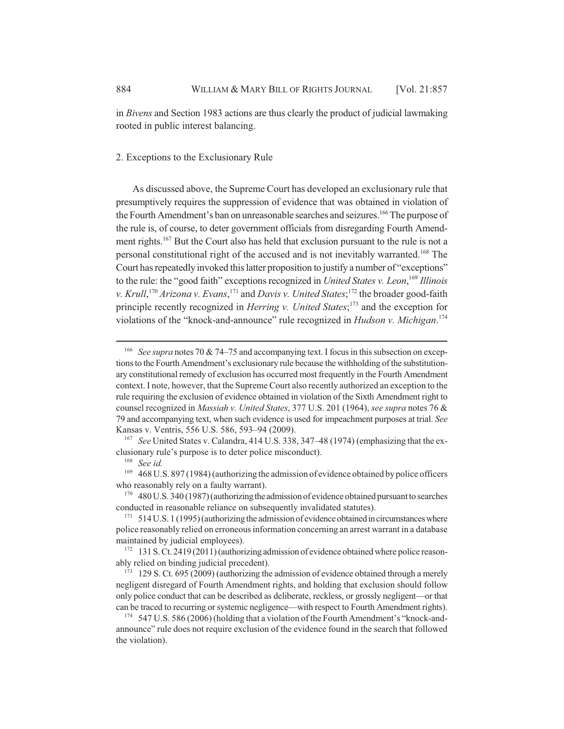in *Bivens* and Section 1983 actions are thus clearly the product of judicial lawmaking rooted in public interest balancing.

## 2. Exceptions to the Exclusionary Rule

As discussed above, the Supreme Court has developed an exclusionary rule that presumptively requires the suppression of evidence that was obtained in violation of the Fourth Amendment's ban on unreasonable searches and seizures.<sup>166</sup> The purpose of the rule is, of course, to deter government officials from disregarding Fourth Amendment rights.<sup>167</sup> But the Court also has held that exclusion pursuant to the rule is not a personal constitutional right of the accused and is not inevitably warranted.168 The Court has repeatedly invoked this latter proposition to justify a number of "exceptions" to the rule: the "good faith" exceptions recognized in *United States v. Leon*, <sup>169</sup> *Illinois* v. *Krull*,<sup>170</sup> *Arizona v. Evans*,<sup>171</sup> and *Davis v. United States*;<sup>172</sup> the broader good-faith principle recently recognized in *Herring v. United States*; 173 and the exception for violations of the "knock-and-announce" rule recognized in *Hudson v. Michigan*. 174

<sup>166</sup> *See supra* notes 70 & 74–75 and accompanying text. I focus in this subsection on exceptions to the Fourth Amendment's exclusionary rule because the withholding of the substitutionary constitutional remedy of exclusion has occurred most frequently in the Fourth Amendment context. I note, however, that the Supreme Court also recently authorized an exception to the rule requiring the exclusion of evidence obtained in violation of the Sixth Amendment right to counsel recognized in *Massiah v. United States*, 377 U.S. 201 (1964), *see supra* notes 76 & 79 and accompanying text, when such evidence is used for impeachment purposes at trial. *See* Kansas v. Ventris, 556 U.S. 586, 593–94 (2009).

<sup>167</sup> *See* United States v. Calandra, 414 U.S. 338, 347–48 (1974) (emphasizing that the exclusionary rule's purpose is to deter police misconduct).

<sup>168</sup> *See id.*

<sup>&</sup>lt;sup>169</sup> 468 U.S. 897 (1984) (authorizing the admission of evidence obtained by police officers who reasonably rely on a faulty warrant).

 $170$  480 U.S. 340 (1987) (authorizing the admission of evidence obtained pursuant to searches conducted in reasonable reliance on subsequently invalidated statutes).

 $171 \quad 514 \text{ U.S.}$  1 (1995) (authorizing the admission of evidence obtained in circumstances where police reasonably relied on erroneous information concerning an arrest warrant in a database maintained by judicial employees).

<sup>&</sup>lt;sup>172</sup> 131 S. Ct. 2419 (2011) (authorizing admission of evidence obtained where police reasonably relied on binding judicial precedent).

<sup>&</sup>lt;sup>173</sup> 129 S. Ct. 695 (2009) (authorizing the admission of evidence obtained through a merely negligent disregard of Fourth Amendment rights, and holding that exclusion should follow only police conduct that can be described as deliberate, reckless, or grossly negligent—or that can be traced to recurring or systemic negligence—with respect to Fourth Amendment rights).

<sup>&</sup>lt;sup>174</sup> 547 U.S. 586 (2006) (holding that a violation of the Fourth Amendment's "knock-andannounce" rule does not require exclusion of the evidence found in the search that followed the violation).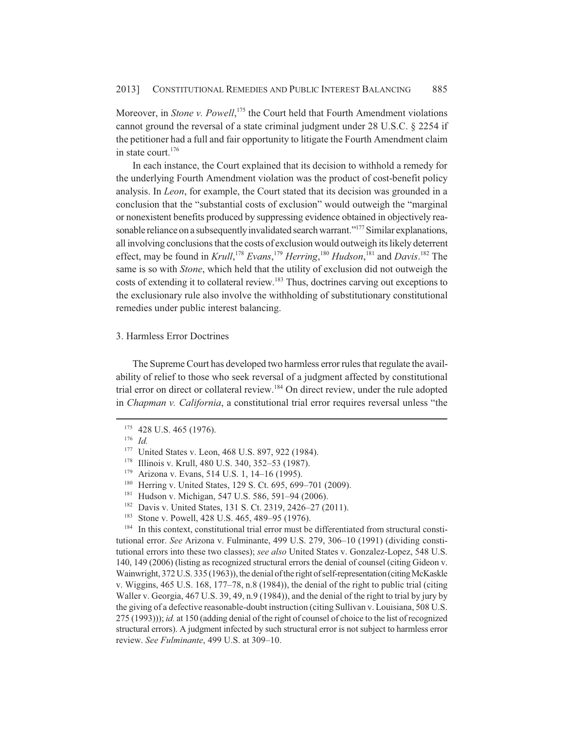Moreover, in *Stone v. Powell*,<sup>175</sup> the Court held that Fourth Amendment violations cannot ground the reversal of a state criminal judgment under 28 U.S.C. § 2254 if the petitioner had a full and fair opportunity to litigate the Fourth Amendment claim in state court. $176$ 

In each instance, the Court explained that its decision to withhold a remedy for the underlying Fourth Amendment violation was the product of cost-benefit policy analysis. In *Leon*, for example, the Court stated that its decision was grounded in a conclusion that the "substantial costs of exclusion" would outweigh the "marginal or nonexistent benefits produced by suppressing evidence obtained in objectively reasonable reliance on a subsequently invalidated search warrant."<sup>177</sup> Similar explanations, all involving conclusions that the costs of exclusion would outweigh its likely deterrent effect, may be found in *Krull*, <sup>178</sup> *Evans*, <sup>179</sup> *Herring*, <sup>180</sup> *Hudson*, 181 and *Davis*. 182 The same is so with *Stone*, which held that the utility of exclusion did not outweigh the costs of extending it to collateral review.<sup>183</sup> Thus, doctrines carving out exceptions to the exclusionary rule also involve the withholding of substitutionary constitutional remedies under public interest balancing.

## 3. Harmless Error Doctrines

The Supreme Court has developed two harmless error rules that regulate the availability of relief to those who seek reversal of a judgment affected by constitutional trial error on direct or collateral review.<sup>184</sup> On direct review, under the rule adopted in *Chapman v. California*, a constitutional trial error requires reversal unless "the

<sup>184</sup> In this context, constitutional trial error must be differentiated from structural constitutional error. *See* Arizona v. Fulminante, 499 U.S. 279, 306–10 (1991) (dividing constitutional errors into these two classes); *see also* United States v. Gonzalez-Lopez, 548 U.S. 140, 149 (2006) (listing as recognized structural errors the denial of counsel (citing Gideon v. Wainwright, 372 U.S. 335 (1963)), the denial of the right of self-representation (citing McKaskle v. Wiggins, 465 U.S. 168, 177–78, n.8 (1984)), the denial of the right to public trial (citing Waller v. Georgia, 467 U.S. 39, 49, n.9 (1984)), and the denial of the right to trial by jury by the giving of a defective reasonable-doubt instruction (citing Sullivan v. Louisiana, 508 U.S. 275 (1993))); *id.* at 150 (adding denial of the right of counsel of choice to the list of recognized structural errors). A judgment infected by such structural error is not subject to harmless error review. *See Fulminante*, 499 U.S. at 309–10.

<sup>&</sup>lt;sup>175</sup> 428 U.S. 465 (1976).

<sup>176</sup> *Id.*

<sup>&</sup>lt;sup>177</sup> United States v. Leon, 468 U.S. 897, 922 (1984).

<sup>178</sup> Illinois v. Krull, 480 U.S. 340, 352–53 (1987).

<sup>179</sup> Arizona v. Evans, 514 U.S. 1, 14–16 (1995).

<sup>&</sup>lt;sup>180</sup> Herring v. United States, 129 S. Ct. 695, 699-701 (2009).

<sup>181</sup> Hudson v. Michigan, 547 U.S. 586, 591–94 (2006).

<sup>&</sup>lt;sup>182</sup> Davis v. United States, 131 S. Ct. 2319, 2426–27 (2011).<br><sup>183</sup> Stone v. Powell, 428 U.S. 465, 489–95 (1976).

Stone v. Powell, 428 U.S. 465, 489–95 (1976).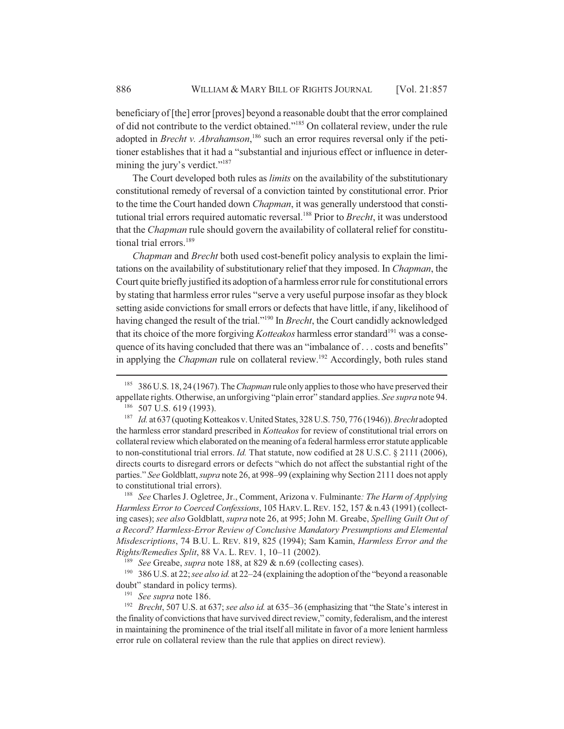beneficiary of [the] error [proves] beyond a reasonable doubt that the error complained of did not contribute to the verdict obtained."185 On collateral review, under the rule adopted in *Brecht v. Abrahamson*,<sup>186</sup> such an error requires reversal only if the petitioner establishes that it had a "substantial and injurious effect or influence in determining the jury's verdict."<sup>187</sup>

The Court developed both rules as *limits* on the availability of the substitutionary constitutional remedy of reversal of a conviction tainted by constitutional error. Prior to the time the Court handed down *Chapman*, it was generally understood that constitutional trial errors required automatic reversal.<sup>188</sup> Prior to *Brecht*, it was understood that the *Chapman* rule should govern the availability of collateral relief for constitutional trial errors.<sup>189</sup>

*Chapman* and *Brecht* both used cost-benefit policy analysis to explain the limitations on the availability of substitutionary relief that they imposed. In *Chapman*, the Court quite briefly justified its adoption of a harmless error rule for constitutional errors by stating that harmless error rules "serve a very useful purpose insofar as they block setting aside convictions for small errors or defects that have little, if any, likelihood of having changed the result of the trial."190 In *Brecht*, the Court candidly acknowledged that its choice of the more forgiving *Kotteakos* harmless error standard<sup>191</sup> was a consequence of its having concluded that there was an "imbalance of . . . costs and benefits" in applying the *Chapman* rule on collateral review.<sup>192</sup> Accordingly, both rules stand

<sup>188</sup> *See* Charles J. Ogletree, Jr., Comment, Arizona v. Fulminante*: The Harm of Applying Harmless Error to Coerced Confessions*, 105 HARV.L.REV. 152, 157 & n.43 (1991) (collecting cases); *see also* Goldblatt, *supra* note 26, at 995; John M. Greabe, *Spelling Guilt Out of a Record? Harmless-Error Review of Conclusive Mandatory Presumptions and Elemental Misdescriptions*, 74 B.U. L. REV. 819, 825 (1994); Sam Kamin, *Harmless Error and the Rights/Remedies Split*, 88 VA. L. REV. 1, 10–11 (2002).

<sup>185</sup> 386 U.S. 18, 24 (1967). The *Chapman* rule only applies to those who have preserved their appellate rights. Otherwise, an unforgiving "plain error" standard applies. *See supra* note 94. <sup>186</sup> 507 U.S. 619 (1993).

<sup>187</sup> *Id.* at 637 (quoting Kotteakos v. United States, 328 U.S. 750, 776 (1946)). *Brecht* adopted the harmless error standard prescribed in *Kotteakos* for review of constitutional trial errors on collateral review which elaborated on the meaning of a federal harmless error statute applicable to non-constitutional trial errors. *Id.* That statute, now codified at 28 U.S.C. § 2111 (2006), directs courts to disregard errors or defects "which do not affect the substantial right of the parties." *See* Goldblatt, *supra* note 26, at 998–99 (explaining why Section 2111 does not apply to constitutional trial errors).

<sup>189</sup> *See* Greabe, *supra* note 188, at 829 & n.69 (collecting cases).

<sup>190</sup> 386 U.S. at 22; *see also id.* at 22–24 (explaining the adoption of the "beyond a reasonable doubt" standard in policy terms).

<sup>191</sup> *See supra* note 186.

<sup>192</sup> *Brecht*, 507 U.S. at 637; *see also id.* at 635–36 (emphasizing that "the State's interest in the finality of convictions that have survived direct review," comity, federalism, and the interest in maintaining the prominence of the trial itself all militate in favor of a more lenient harmless error rule on collateral review than the rule that applies on direct review).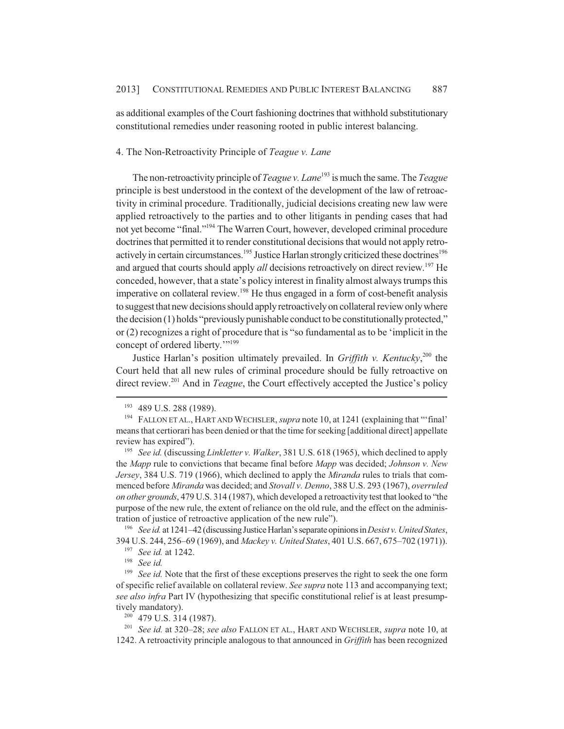as additional examples of the Court fashioning doctrines that withhold substitutionary constitutional remedies under reasoning rooted in public interest balancing.

# 4. The Non-Retroactivity Principle of *Teague v. Lane*

The non-retroactivity principle of *Teague v. Lane*<sup>193</sup> is much the same. The *Teague* principle is best understood in the context of the development of the law of retroactivity in criminal procedure. Traditionally, judicial decisions creating new law were applied retroactively to the parties and to other litigants in pending cases that had not yet become "final."194 The Warren Court, however, developed criminal procedure doctrines that permitted it to render constitutional decisions that would not apply retroactively in certain circumstances.<sup>195</sup> Justice Harlan strongly criticized these doctrines<sup>196</sup> and argued that courts should apply *all* decisions retroactively on direct review.<sup>197</sup> He conceded, however, that a state's policy interest in finality almost always trumps this imperative on collateral review.<sup>198</sup> He thus engaged in a form of cost-benefit analysis to suggest that new decisions should apply retroactively on collateral review only where the decision (1) holds "previously punishable conduct to be constitutionally protected," or (2) recognizes a right of procedure that is "so fundamental as to be 'implicit in the concept of ordered liberty.""<sup>199</sup>

Justice Harlan's position ultimately prevailed. In *Griffith v. Kentucky*, 200 the Court held that all new rules of criminal procedure should be fully retroactive on direct review.<sup>201</sup> And in *Teague*, the Court effectively accepted the Justice's policy

<sup>196</sup> *See id.* at 1241–42 (discussing Justice Harlan's separate opinions in *Desist v. United States*, 394 U.S. 244, 256–69 (1969), and *Mackey v. United States*, 401 U.S. 667, 675–702 (1971)).

<sup>193</sup> 489 U.S. 288 (1989).

<sup>194</sup> FALLON ET AL., HART AND WECHSLER, *supra* note 10, at 1241 (explaining that "'final' means that certiorari has been denied or that the time for seeking [additional direct] appellate review has expired").

<sup>195</sup> *See id.* (discussing *Linkletter v. Walker*, 381 U.S. 618 (1965), which declined to apply the *Mapp* rule to convictions that became final before *Mapp* was decided; *Johnson v. New Jersey*, 384 U.S. 719 (1966), which declined to apply the *Miranda* rules to trials that commenced before *Miranda* was decided; and *Stovall v. Denno*, 388 U.S. 293 (1967), *overruled on other grounds*, 479 U.S. 314 (1987), which developed a retroactivity test that looked to "the purpose of the new rule, the extent of reliance on the old rule, and the effect on the administration of justice of retroactive application of the new rule").

<sup>197</sup> *See id.* at 1242.

<sup>198</sup> *See id.*

<sup>&</sup>lt;sup>199</sup> *See id.* Note that the first of these exceptions preserves the right to seek the one form of specific relief available on collateral review. *See supra* note 113 and accompanying text; *see also infra* Part IV (hypothesizing that specific constitutional relief is at least presumptively mandatory).

<sup>200</sup> 479 U.S. 314 (1987).

<sup>201</sup> *See id.* at 320–28; *see also* FALLON ET AL., HART AND WECHSLER, *supra* note 10, at 1242. A retroactivity principle analogous to that announced in *Griffith* has been recognized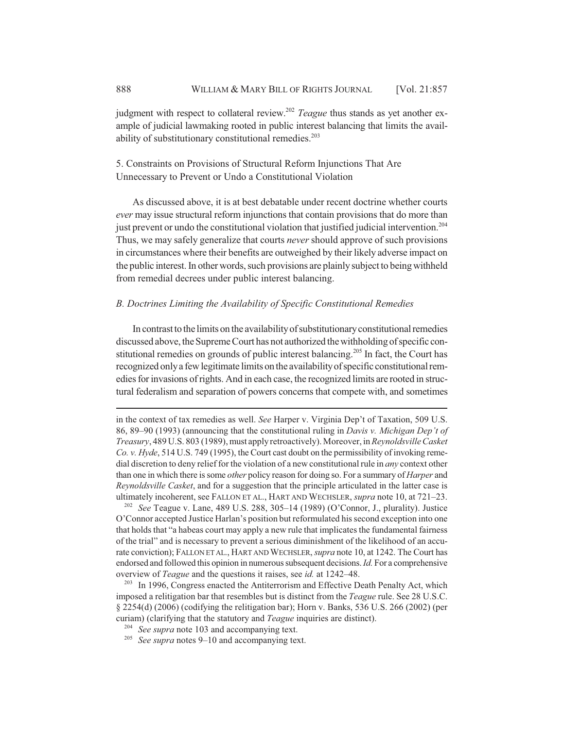judgment with respect to collateral review.<sup>202</sup> *Teague* thus stands as yet another example of judicial lawmaking rooted in public interest balancing that limits the availability of substitutionary constitutional remedies. $203$ 

5. Constraints on Provisions of Structural Reform Injunctions That Are Unnecessary to Prevent or Undo a Constitutional Violation

As discussed above, it is at best debatable under recent doctrine whether courts *ever* may issue structural reform injunctions that contain provisions that do more than just prevent or undo the constitutional violation that justified judicial intervention.<sup>204</sup> Thus, we may safely generalize that courts *never* should approve of such provisions in circumstances where their benefits are outweighed by their likely adverse impact on the public interest. In other words, such provisions are plainly subject to being withheld from remedial decrees under public interest balancing.

## *B. Doctrines Limiting the Availability of Specific Constitutional Remedies*

In contrast to the limits on the availability of substitutionary constitutional remedies discussed above, the Supreme Court has not authorized the withholding of specific constitutional remedies on grounds of public interest balancing.<sup>205</sup> In fact, the Court has recognized only a few legitimate limits on the availability of specific constitutional remedies for invasions of rights. And in each case, the recognized limits are rooted in structural federalism and separation of powers concerns that compete with, and sometimes

<sup>202</sup> *See* Teague v. Lane, 489 U.S. 288, 305–14 (1989) (O'Connor, J., plurality). Justice O'Connor accepted Justice Harlan's position but reformulated his second exception into one that holds that "a habeas court may apply a new rule that implicates the fundamental fairness of the trial" and is necessary to prevent a serious diminishment of the likelihood of an accurate conviction); FALLON ET AL., HART AND WECHSLER, *supra* note 10, at 1242. The Court has endorsed and followed this opinion in numerous subsequent decisions. *Id.* For a comprehensive overview of *Teague* and the questions it raises, see *id.* at 1242–48.

in the context of tax remedies as well. *See* Harper v. Virginia Dep't of Taxation, 509 U.S. 86, 89–90 (1993) (announcing that the constitutional ruling in *Davis v. Michigan Dep't of Treasury*, 489 U.S. 803 (1989), must apply retroactively). Moreover, in *Reynoldsville Casket Co. v. Hyde*, 514 U.S. 749 (1995), the Court cast doubt on the permissibility of invoking remedial discretion to deny relief for the violation of a new constitutional rule in *any* context other than one in which there is some *other* policy reason for doing so. For a summary of *Harper* and *Reynoldsville Casket*, and for a suggestion that the principle articulated in the latter case is ultimately incoherent, see FALLON ET AL., HART AND WECHSLER, *supra* note 10, at 721–23.

<sup>&</sup>lt;sup>203</sup> In 1996, Congress enacted the Antiterrorism and Effective Death Penalty Act, which imposed a relitigation bar that resembles but is distinct from the *Teague* rule. See 28 U.S.C. § 2254(d) (2006) (codifying the relitigation bar); Horn v. Banks, 536 U.S. 266 (2002) (per curiam) (clarifying that the statutory and *Teague* inquiries are distinct).

<sup>&</sup>lt;sup>204</sup> *See supra* note 103 and accompanying text.

<sup>205</sup> *See supra* notes 9–10 and accompanying text.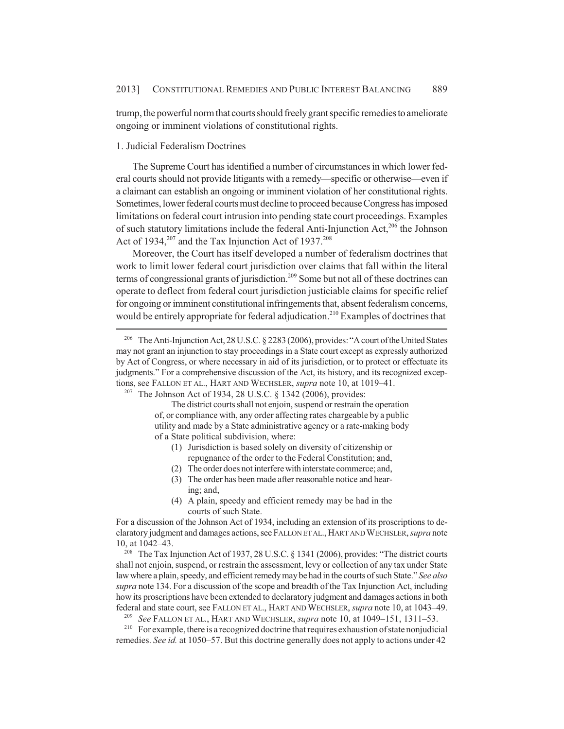trump, the powerful norm that courts should freely grant specific remedies to ameliorate ongoing or imminent violations of constitutional rights.

## 1. Judicial Federalism Doctrines

The Supreme Court has identified a number of circumstances in which lower federal courts should not provide litigants with a remedy—specific or otherwise—even if a claimant can establish an ongoing or imminent violation of her constitutional rights. Sometimes, lower federal courts must decline to proceed because Congress has imposed limitations on federal court intrusion into pending state court proceedings. Examples of such statutory limitations include the federal Anti-Injunction Act,<sup>206</sup> the Johnson Act of  $1934$ ,<sup>207</sup> and the Tax Injunction Act of  $1937$ .<sup>208</sup>

Moreover, the Court has itself developed a number of federalism doctrines that work to limit lower federal court jurisdiction over claims that fall within the literal terms of congressional grants of jurisdiction.<sup>209</sup> Some but not all of these doctrines can operate to deflect from federal court jurisdiction justiciable claims for specific relief for ongoing or imminent constitutional infringements that, absent federalism concerns, would be entirely appropriate for federal adjudication.<sup>210</sup> Examples of doctrines that

The district courts shall not enjoin, suspend or restrain the operation of, or compliance with, any order affecting rates chargeable by a public utility and made by a State administrative agency or a rate-making body of a State political subdivision, where:

- (1) Jurisdiction is based solely on diversity of citizenship or repugnance of the order to the Federal Constitution; and,
- (2) The order does not interfere with interstate commerce; and,
- (3) The order has been made after reasonable notice and hearing; and,
- (4) A plain, speedy and efficient remedy may be had in the courts of such State.

For a discussion of the Johnson Act of 1934, including an extension of its proscriptions to declaratory judgment and damages actions, see FALLON ET AL., HART AND WECHSLER, *supra* note 10, at 1042–43.

<sup>208</sup> The Tax Injunction Act of 1937, 28 U.S.C. § 1341 (2006), provides: "The district courts shall not enjoin, suspend, or restrain the assessment, levy or collection of any tax under State law where a plain, speedy, and efficient remedy may be had in the courts of such State." *See also supra* note 134. For a discussion of the scope and breadth of the Tax Injunction Act, including how its proscriptions have been extended to declaratory judgment and damages actions in both federal and state court, see FALLON ET AL., HART AND WECHSLER, *supra* note 10, at 1043–49.

<sup>209</sup> *See* FALLON ET AL., HART AND WECHSLER, *supra* note 10, at 1049–151, 1311–53.

<sup>210</sup> For example, there is a recognized doctrine that requires exhaustion of state nonjudicial remedies. *See id.* at 1050–57. But this doctrine generally does not apply to actions under 42

<sup>206</sup> The Anti-Injunction Act, 28 U.S.C. § 2283 (2006), provides: "A court of the United States may not grant an injunction to stay proceedings in a State court except as expressly authorized by Act of Congress, or where necessary in aid of its jurisdiction, or to protect or effectuate its judgments." For a comprehensive discussion of the Act, its history, and its recognized exceptions, see FALLON ET AL., HART AND WECHSLER, *supra* note 10, at 1019–41.

<sup>&</sup>lt;sup>207</sup> The Johnson Act of 1934, 28 U.S.C. § 1342 (2006), provides: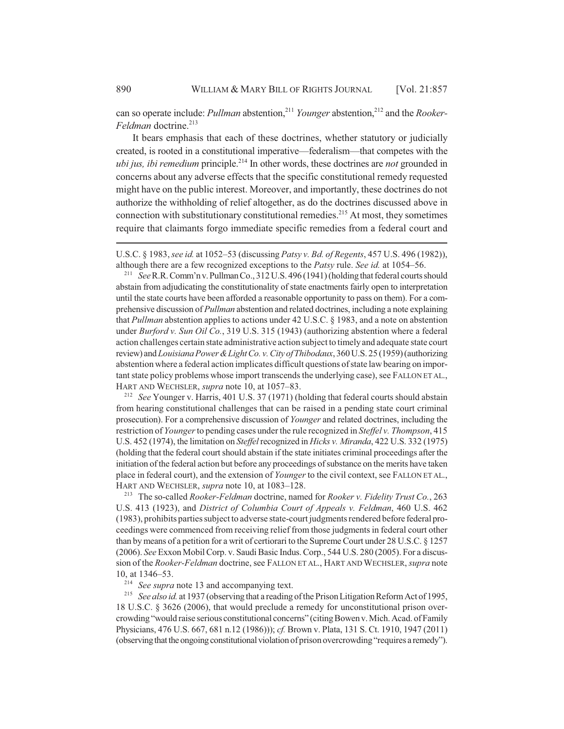can so operate include: *Pullman* abstention,<sup>211</sup> *Younger* abstention,<sup>212</sup> and the *Rooker-Feldman* doctrine.<sup>213</sup>

It bears emphasis that each of these doctrines, whether statutory or judicially created, is rooted in a constitutional imperative—federalism—that competes with the *ubi jus, ibi remedium* principle.<sup>214</sup> In other words, these doctrines are *not* grounded in concerns about any adverse effects that the specific constitutional remedy requested might have on the public interest. Moreover, and importantly, these doctrines do not authorize the withholding of relief altogether, as do the doctrines discussed above in connection with substitutionary constitutional remedies.<sup>215</sup> At most, they sometimes require that claimants forgo immediate specific remedies from a federal court and

<sup>211</sup> *See* R.R. Comm'n v. Pullman Co., 312 U.S. 496 (1941) (holding that federal courts should abstain from adjudicating the constitutionality of state enactments fairly open to interpretation until the state courts have been afforded a reasonable opportunity to pass on them). For a comprehensive discussion of *Pullman* abstention and related doctrines, including a note explaining that *Pullman* abstention applies to actions under 42 U.S.C. § 1983, and a note on abstention under *Burford v. Sun Oil Co.*, 319 U.S. 315 (1943) (authorizing abstention where a federal action challenges certain state administrative action subject to timely and adequate state court review) and *Louisiana Power & Light Co. v. City of Thibodaux*, 360 U.S. 25 (1959) (authorizing abstention where a federal action implicates difficult questions of state law bearing on important state policy problems whose import transcends the underlying case), see FALLON ET AL., HART AND WECHSLER, *supra* note 10, at 1057–83.

<sup>212</sup> *See* Younger v. Harris, 401 U.S. 37 (1971) (holding that federal courts should abstain from hearing constitutional challenges that can be raised in a pending state court criminal prosecution). For a comprehensive discussion of *Younger* and related doctrines, including the restriction of *Younger* to pending cases under the rule recognized in *Steffel v. Thompson*, 415 U.S. 452 (1974), the limitation on *Steffel* recognized in *Hicks v. Miranda*, 422 U.S. 332 (1975) (holding that the federal court should abstain if the state initiates criminal proceedings after the initiation of the federal action but before any proceedings of substance on the merits have taken place in federal court), and the extension of *Younger* to the civil context, see FALLON ET AL., HART AND WECHSLER, *supra* note 10, at 1083–128.

<sup>213</sup> The so-called *Rooker-Feldman* doctrine, named for *Rooker v. Fidelity Trust Co.*, 263 U.S. 413 (1923), and *District of Columbia Court of Appeals v. Feldman*, 460 U.S. 462 (1983), prohibits parties subject to adverse state-court judgments rendered before federal proceedings were commenced from receiving relief from those judgments in federal court other than by means of a petition for a writ of certiorari to the Supreme Court under 28 U.S.C. § 1257 (2006). *See* Exxon Mobil Corp. v. Saudi Basic Indus. Corp., 544 U.S. 280 (2005). For a discussion of the *Rooker-Feldman* doctrine, see FALLON ET AL., HART AND WECHSLER, *supra* note 10, at 1346–53.

<sup>214</sup> *See supra* note 13 and accompanying text.

<sup>215</sup> *See also id.* at 1937 (observing that a reading of the Prison Litigation Reform Act of 1995, 18 U.S.C. § 3626 (2006), that would preclude a remedy for unconstitutional prison overcrowding "would raise serious constitutional concerns" (citing Bowen v. Mich. Acad. of Family Physicians, 476 U.S. 667, 681 n.12 (1986))); *cf.* Brown v. Plata, 131 S. Ct. 1910, 1947 (2011) (observing that the ongoing constitutional violation of prison overcrowding "requires a remedy").

U.S.C. § 1983, *see id.* at 1052–53 (discussing *Patsy v. Bd. of Regents*, 457 U.S. 496 (1982)), although there are a few recognized exceptions to the *Patsy* rule. *See id.* at 1054–56.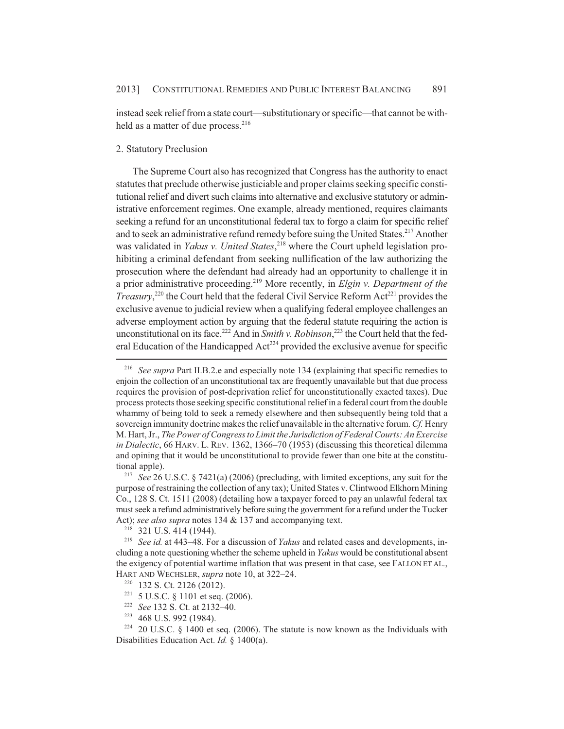instead seek relief from a state court—substitutionary or specific—that cannot be withheld as a matter of due process. $216$ 

## 2. Statutory Preclusion

The Supreme Court also has recognized that Congress has the authority to enact statutes that preclude otherwise justiciable and proper claims seeking specific constitutional relief and divert such claims into alternative and exclusive statutory or administrative enforcement regimes. One example, already mentioned, requires claimants seeking a refund for an unconstitutional federal tax to forgo a claim for specific relief and to seek an administrative refund remedy before suing the United States.<sup>217</sup> Another was validated in *Yakus v. United States*, 218 where the Court upheld legislation prohibiting a criminal defendant from seeking nullification of the law authorizing the prosecution where the defendant had already had an opportunity to challenge it in a prior administrative proceeding.219 More recently, in *Elgin v. Department of the Treasury*,<sup>220</sup> the Court held that the federal Civil Service Reform Act<sup>221</sup> provides the exclusive avenue to judicial review when a qualifying federal employee challenges an adverse employment action by arguing that the federal statute requiring the action is unconstitutional on its face.<sup>222</sup> And in *Smith v. Robinson*,<sup>223</sup> the Court held that the federal Education of the Handicapped  $Act^{224}$  provided the exclusive avenue for specific

<sup>222</sup> *See* 132 S. Ct. at 2132–40.

<sup>216</sup> *See supra* Part II.B.2.e and especially note 134 (explaining that specific remedies to enjoin the collection of an unconstitutional tax are frequently unavailable but that due process requires the provision of post-deprivation relief for unconstitutionally exacted taxes). Due process protects those seeking specific constitutional relief in a federal court from the double whammy of being told to seek a remedy elsewhere and then subsequently being told that a sovereign immunity doctrine makes the relief unavailable in the alternative forum. *Cf.* Henry M. Hart, Jr., *The Power of Congress to Limit the Jurisdiction of Federal Courts: An Exercise in Dialectic*, 66 HARV. L. REV. 1362, 1366–70 (1953) (discussing this theoretical dilemma and opining that it would be unconstitutional to provide fewer than one bite at the constitutional apple).

<sup>217</sup> *See* 26 U.S.C. § 7421(a) (2006) (precluding, with limited exceptions, any suit for the purpose of restraining the collection of any tax); United States v. Clintwood Elkhorn Mining Co., 128 S. Ct. 1511 (2008) (detailing how a taxpayer forced to pay an unlawful federal tax must seek a refund administratively before suing the government for a refund under the Tucker Act); *see also supra* notes 134 & 137 and accompanying text.

<sup>&</sup>lt;sup>218</sup> 321 U.S. 414 (1944).

<sup>219</sup> *See id.* at 443–48. For a discussion of *Yakus* and related cases and developments, including a note questioning whether the scheme upheld in *Yakus* would be constitutional absent the exigency of potential wartime inflation that was present in that case, see FALLON ET AL., HART AND WECHSLER, *supra* note 10, at 322–24.

<sup>220</sup> 132 S. Ct. 2126 (2012).

<sup>221</sup> 5 U.S.C. § 1101 et seq. (2006).

<sup>223</sup> 468 U.S. 992 (1984).

 $224$  20 U.S.C. § 1400 et seq. (2006). The statute is now known as the Individuals with Disabilities Education Act. *Id.* § 1400(a).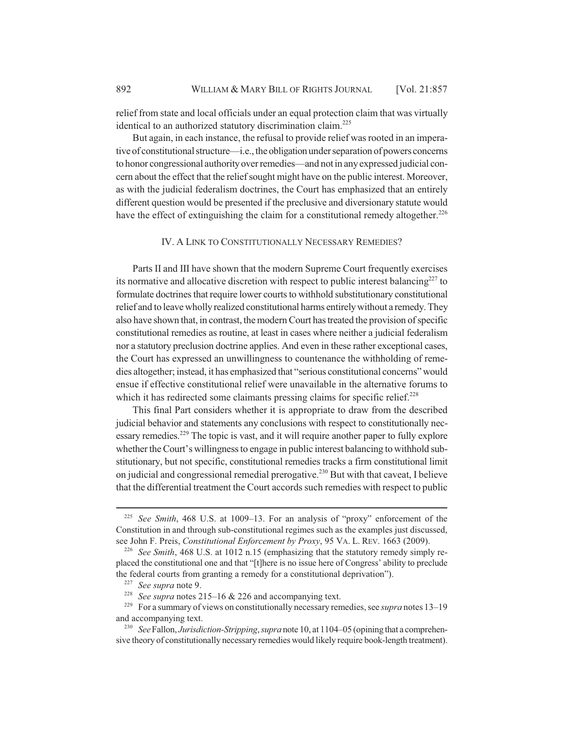relief from state and local officials under an equal protection claim that was virtually identical to an authorized statutory discrimination claim.<sup>225</sup>

But again, in each instance, the refusal to provide relief was rooted in an imperative of constitutional structure—i.e., the obligation under separation of powers concerns to honor congressional authority over remedies—and not in any expressed judicial concern about the effect that the relief sought might have on the public interest. Moreover, as with the judicial federalism doctrines, the Court has emphasized that an entirely different question would be presented if the preclusive and diversionary statute would have the effect of extinguishing the claim for a constitutional remedy altogether.<sup>226</sup>

IV. A LINK TO CONSTITUTIONALLY NECESSARY REMEDIES?

Parts II and III have shown that the modern Supreme Court frequently exercises its normative and allocative discretion with respect to public interest balancing $^{227}$  to formulate doctrines that require lower courts to withhold substitutionary constitutional relief and to leave wholly realized constitutional harms entirely without a remedy. They also have shown that, in contrast, the modern Court has treated the provision of specific constitutional remedies as routine, at least in cases where neither a judicial federalism nor a statutory preclusion doctrine applies. And even in these rather exceptional cases, the Court has expressed an unwillingness to countenance the withholding of remedies altogether; instead, it has emphasized that "serious constitutional concerns" would ensue if effective constitutional relief were unavailable in the alternative forums to which it has redirected some claimants pressing claims for specific relief.<sup>228</sup>

This final Part considers whether it is appropriate to draw from the described judicial behavior and statements any conclusions with respect to constitutionally necessary remedies.229 The topic is vast, and it will require another paper to fully explore whether the Court's willingness to engage in public interest balancing to withhold substitutionary, but not specific, constitutional remedies tracks a firm constitutional limit on judicial and congressional remedial prerogative.230 But with that caveat, I believe that the differential treatment the Court accords such remedies with respect to public

<sup>225</sup> *See Smith*, 468 U.S. at 1009–13. For an analysis of "proxy" enforcement of the Constitution in and through sub-constitutional regimes such as the examples just discussed, see John F. Preis, *Constitutional Enforcement by Proxy*, 95 VA. L. REV. 1663 (2009).

<sup>226</sup> *See Smith*, 468 U.S. at 1012 n.15 (emphasizing that the statutory remedy simply replaced the constitutional one and that "[t]here is no issue here of Congress' ability to preclude the federal courts from granting a remedy for a constitutional deprivation").

<sup>227</sup> *See supra* note 9.

<sup>228</sup> *See supra* notes 215–16 & 226 and accompanying text.

<sup>229</sup> For a summary of views on constitutionally necessary remedies, see *supra* notes 13–19 and accompanying text.

<sup>230</sup> *See* Fallon, *Jurisdiction-Stripping*, *supra* note 10, at 1104–05 (opining that a comprehensive theory of constitutionally necessary remedies would likely require book-length treatment).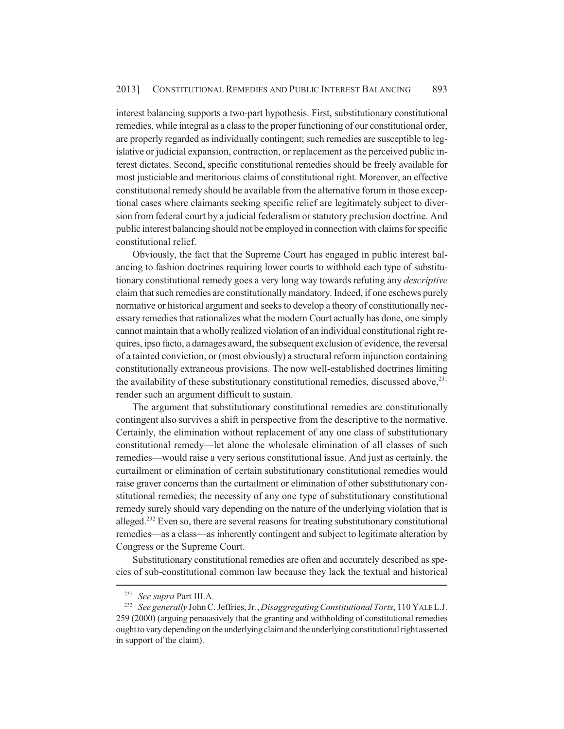interest balancing supports a two-part hypothesis. First, substitutionary constitutional remedies, while integral as a class to the proper functioning of our constitutional order, are properly regarded as individually contingent; such remedies are susceptible to legislative or judicial expansion, contraction, or replacement as the perceived public interest dictates. Second, specific constitutional remedies should be freely available for most justiciable and meritorious claims of constitutional right. Moreover, an effective constitutional remedy should be available from the alternative forum in those exceptional cases where claimants seeking specific relief are legitimately subject to diversion from federal court by a judicial federalism or statutory preclusion doctrine. And public interest balancing should not be employed in connection with claims for specific constitutional relief.

Obviously, the fact that the Supreme Court has engaged in public interest balancing to fashion doctrines requiring lower courts to withhold each type of substitutionary constitutional remedy goes a very long way towards refuting any *descriptive* claim that such remedies are constitutionally mandatory. Indeed, if one eschews purely normative or historical argument and seeks to develop a theory of constitutionally necessary remedies that rationalizes what the modern Court actually has done, one simply cannot maintain that a wholly realized violation of an individual constitutional right requires, ipso facto, a damages award, the subsequent exclusion of evidence, the reversal of a tainted conviction, or (most obviously) a structural reform injunction containing constitutionally extraneous provisions. The now well-established doctrines limiting the availability of these substitutionary constitutional remedies, discussed above, $^{231}$ render such an argument difficult to sustain.

The argument that substitutionary constitutional remedies are constitutionally contingent also survives a shift in perspective from the descriptive to the normative. Certainly, the elimination without replacement of any one class of substitutionary constitutional remedy—let alone the wholesale elimination of all classes of such remedies—would raise a very serious constitutional issue. And just as certainly, the curtailment or elimination of certain substitutionary constitutional remedies would raise graver concerns than the curtailment or elimination of other substitutionary constitutional remedies; the necessity of any one type of substitutionary constitutional remedy surely should vary depending on the nature of the underlying violation that is alleged.<sup>232</sup> Even so, there are several reasons for treating substitutionary constitutional remedies—as a class—as inherently contingent and subject to legitimate alteration by Congress or the Supreme Court.

Substitutionary constitutional remedies are often and accurately described as species of sub-constitutional common law because they lack the textual and historical

<sup>231</sup> *See supra* Part III.A.

<sup>232</sup> *See generally* John C. Jeffries, Jr., *Disaggregating Constitutional Torts*, 110 YALE L.J. 259 (2000) (arguing persuasively that the granting and withholding of constitutional remedies ought to vary depending on the underlying claim and the underlying constitutional right asserted in support of the claim).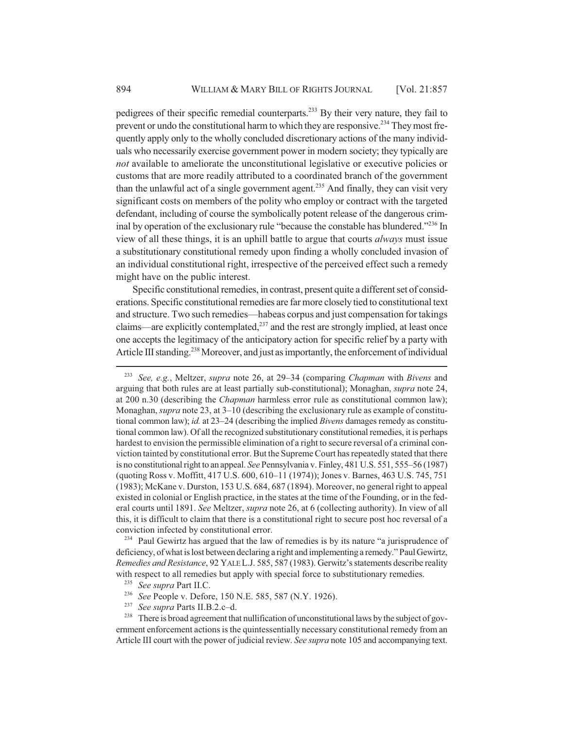pedigrees of their specific remedial counterparts.233 By their very nature, they fail to prevent or undo the constitutional harm to which they are responsive.<sup> $234$ </sup> They most frequently apply only to the wholly concluded discretionary actions of the many individuals who necessarily exercise government power in modern society; they typically are *not* available to ameliorate the unconstitutional legislative or executive policies or customs that are more readily attributed to a coordinated branch of the government than the unlawful act of a single government agent.<sup>235</sup> And finally, they can visit very significant costs on members of the polity who employ or contract with the targeted defendant, including of course the symbolically potent release of the dangerous criminal by operation of the exclusionary rule "because the constable has blundered."<sup>236</sup> In view of all these things, it is an uphill battle to argue that courts *always* must issue a substitutionary constitutional remedy upon finding a wholly concluded invasion of an individual constitutional right, irrespective of the perceived effect such a remedy might have on the public interest.

Specific constitutional remedies, in contrast, present quite a different set of considerations. Specific constitutional remedies are far more closely tied to constitutional text and structure. Two such remedies—habeas corpus and just compensation for takings claims—are explicitly contemplated, $^{237}$  and the rest are strongly implied, at least once one accepts the legitimacy of the anticipatory action for specific relief by a party with Article III standing.<sup>238</sup> Moreover, and just as importantly, the enforcement of individual

<sup>234</sup> Paul Gewirtz has argued that the law of remedies is by its nature "a jurisprudence of deficiency, of what is lost between declaring a right and implementing a remedy." Paul Gewirtz, *Remedies and Resistance*, 92 YALE L.J. 585, 587 (1983). Gerwitz's statements describe reality with respect to all remedies but apply with special force to substitutionary remedies.

- <sup>236</sup> *See* People v. Defore, 150 N.E. 585, 587 (N.Y. 1926).
- <sup>237</sup> *See supra* Parts II.B.2.c–d.

<sup>238</sup> There is broad agreement that nullification of unconstitutional laws by the subject of government enforcement actions is the quintessentially necessary constitutional remedy from an Article III court with the power of judicial review. *See supra* note 105 and accompanying text.

<sup>233</sup> *See, e.g.*, Meltzer, *supra* note 26, at 29–34 (comparing *Chapman* with *Bivens* and arguing that both rules are at least partially sub-constitutional); Monaghan, *supra* note 24, at 200 n.30 (describing the *Chapman* harmless error rule as constitutional common law); Monaghan, *supra* note 23, at 3–10 (describing the exclusionary rule as example of constitutional common law); *id.* at 23–24 (describing the implied *Bivens* damages remedy as constitutional common law). Of all the recognized substitutionary constitutional remedies, it is perhaps hardest to envision the permissible elimination of a right to secure reversal of a criminal conviction tainted by constitutional error. But the Supreme Court has repeatedly stated that there is no constitutional right to an appeal. *See* Pennsylvania v. Finley, 481 U.S. 551, 555–56 (1987) (quoting Ross v. Moffitt, 417 U.S. 600, 610–11 (1974)); Jones v. Barnes, 463 U.S. 745, 751 (1983); McKane v. Durston, 153 U.S. 684, 687 (1894). Moreover, no general right to appeal existed in colonial or English practice, in the states at the time of the Founding, or in the federal courts until 1891. *See* Meltzer, *supra* note 26, at 6 (collecting authority). In view of all this, it is difficult to claim that there is a constitutional right to secure post hoc reversal of a conviction infected by constitutional error.

<sup>235</sup> *See supra* Part II.C.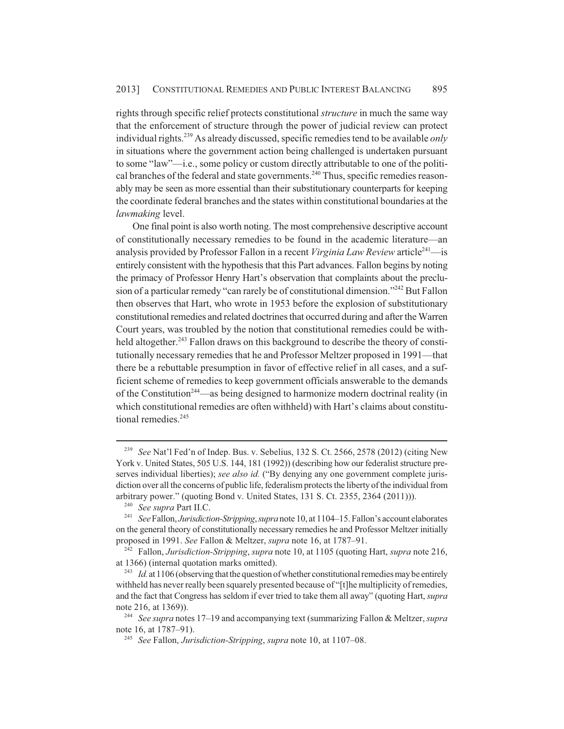rights through specific relief protects constitutional *structure* in much the same way that the enforcement of structure through the power of judicial review can protect individual rights.239 As already discussed, specific remedies tend to be available *only* in situations where the government action being challenged is undertaken pursuant to some "law"—i.e., some policy or custom directly attributable to one of the political branches of the federal and state governments.<sup>240</sup> Thus, specific remedies reasonably may be seen as more essential than their substitutionary counterparts for keeping the coordinate federal branches and the states within constitutional boundaries at the *lawmaking* level.

One final point is also worth noting. The most comprehensive descriptive account of constitutionally necessary remedies to be found in the academic literature—an analysis provided by Professor Fallon in a recent *Virginia Law Review* article<sup>241</sup>—is entirely consistent with the hypothesis that this Part advances. Fallon begins by noting the primacy of Professor Henry Hart's observation that complaints about the preclusion of a particular remedy "can rarely be of constitutional dimension."<sup>242</sup> But Fallon then observes that Hart, who wrote in 1953 before the explosion of substitutionary constitutional remedies and related doctrines that occurred during and after the Warren Court years, was troubled by the notion that constitutional remedies could be withheld altogether.<sup>243</sup> Fallon draws on this background to describe the theory of constitutionally necessary remedies that he and Professor Meltzer proposed in 1991—that there be a rebuttable presumption in favor of effective relief in all cases, and a sufficient scheme of remedies to keep government officials answerable to the demands of the Constitution<sup>244</sup>—as being designed to harmonize modern doctrinal reality (in which constitutional remedies are often withheld) with Hart's claims about constitutional remedies.<sup>245</sup>

<sup>239</sup> *See* Nat'l Fed'n of Indep. Bus. v. Sebelius, 132 S. Ct. 2566, 2578 (2012) (citing New York v. United States, 505 U.S. 144, 181 (1992)) (describing how our federalist structure preserves individual liberties); *see also id.* ("By denying any one government complete jurisdiction over all the concerns of public life, federalism protects the liberty of the individual from arbitrary power." (quoting Bond v. United States, 131 S. Ct. 2355, 2364 (2011))).

<sup>240</sup> *See supra* Part II.C.

<sup>241</sup> *See* Fallon, *Jurisdiction-Stripping*, *supra* note 10, at 1104–15. Fallon's account elaborates on the general theory of constitutionally necessary remedies he and Professor Meltzer initially proposed in 1991. *See* Fallon & Meltzer, *supra* note 16, at 1787–91.

<sup>242</sup> Fallon, *Jurisdiction-Stripping*, *supra* note 10, at 1105 (quoting Hart, *supra* note 216, at 1366) (internal quotation marks omitted).

<sup>&</sup>lt;sup>243</sup> *Id.* at 1106 (observing that the question of whether constitutional remedies may be entirely withheld has never really been squarely presented because of "[t]he multiplicity of remedies, and the fact that Congress has seldom if ever tried to take them all away" (quoting Hart, *supra* note 216, at 1369)).

<sup>244</sup> *See supra* notes 17–19 and accompanying text (summarizing Fallon & Meltzer, *supra* note 16, at 1787–91).

<sup>245</sup> *See* Fallon, *Jurisdiction-Stripping*, *supra* note 10, at 1107–08.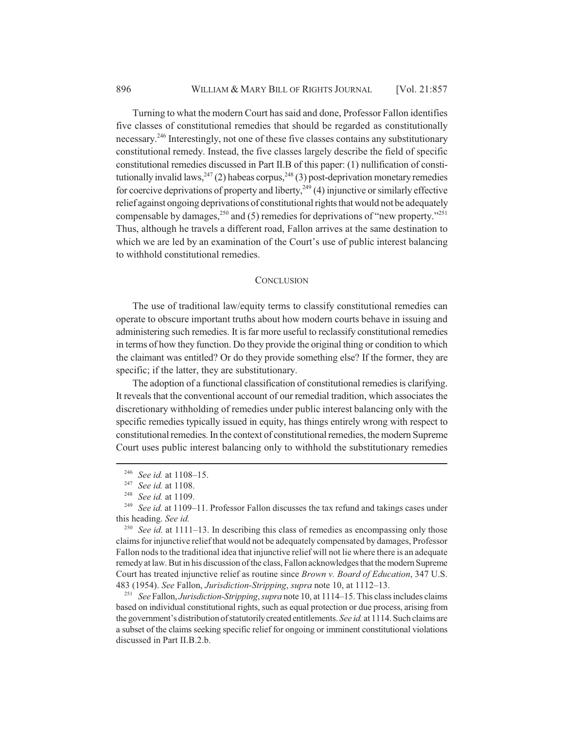Turning to what the modern Court has said and done, Professor Fallon identifies five classes of constitutional remedies that should be regarded as constitutionally necessary.246 Interestingly, not one of these five classes contains any substitutionary constitutional remedy. Instead, the five classes largely describe the field of specific constitutional remedies discussed in Part II.B of this paper: (1) nullification of constitutionally invalid laws,  $247$  (2) habeas corpus,  $248$  (3) post-deprivation monetary remedies for coercive deprivations of property and liberty,  $249$  (4) injunctive or similarly effective relief against ongoing deprivations of constitutional rights that would not be adequately compensable by damages,<sup>250</sup> and (5) remedies for deprivations of "new property."<sup>251</sup> Thus, although he travels a different road, Fallon arrives at the same destination to which we are led by an examination of the Court's use of public interest balancing to withhold constitutional remedies.

#### **CONCLUSION**

The use of traditional law/equity terms to classify constitutional remedies can operate to obscure important truths about how modern courts behave in issuing and administering such remedies. It is far more useful to reclassify constitutional remedies in terms of how they function. Do they provide the original thing or condition to which the claimant was entitled? Or do they provide something else? If the former, they are specific; if the latter, they are substitutionary.

The adoption of a functional classification of constitutional remedies is clarifying. It reveals that the conventional account of our remedial tradition, which associates the discretionary withholding of remedies under public interest balancing only with the specific remedies typically issued in equity, has things entirely wrong with respect to constitutional remedies. In the context of constitutional remedies, the modern Supreme Court uses public interest balancing only to withhold the substitutionary remedies

<sup>251</sup> *See* Fallon, *Jurisdiction-Stripping*, *supra* note 10, at 1114–15. This class includes claims based on individual constitutional rights, such as equal protection or due process, arising from the government's distribution of statutorily created entitlements. *See id.* at 1114. Such claims are a subset of the claims seeking specific relief for ongoing or imminent constitutional violations discussed in Part II.B.2.b.

<sup>246</sup> *See id.* at 1108–15.

<sup>247</sup> *See id.* at 1108.

<sup>248</sup> *See id.* at 1109.

<sup>249</sup> *See id.* at 1109–11. Professor Fallon discusses the tax refund and takings cases under this heading. *See id.*

<sup>&</sup>lt;sup>250</sup> *See id.* at 1111–13. In describing this class of remedies as encompassing only those claims for injunctive relief that would not be adequately compensated by damages, Professor Fallon nods to the traditional idea that injunctive relief will not lie where there is an adequate remedy at law. But in his discussion of the class, Fallon acknowledges that the modern Supreme Court has treated injunctive relief as routine since *Brown v. Board of Education*, 347 U.S. 483 (1954). *See* Fallon, *Jurisdiction-Stripping*, *supra* note 10, at 1112–13.